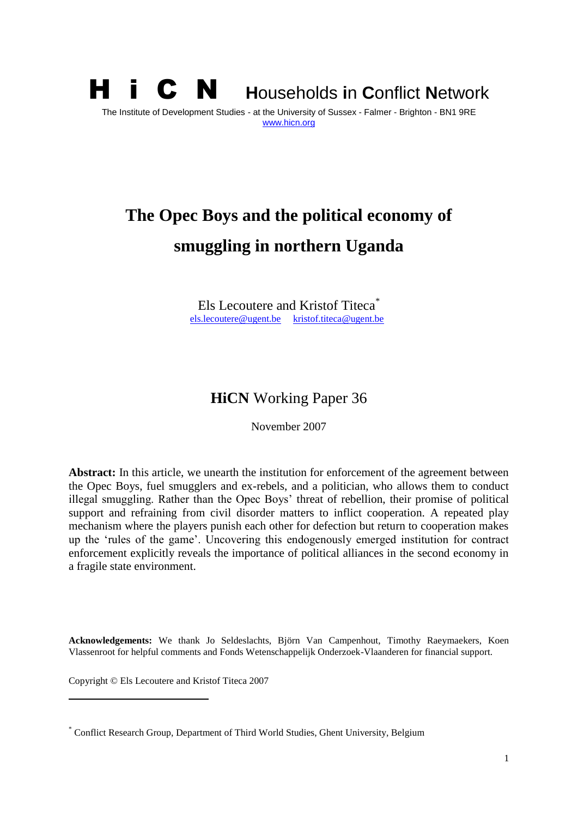

# **The Opec Boys and the political economy of smuggling in northern Uganda**

Els Lecoutere and Kristof Titeca<sup>\*</sup> [els.lecoutere@ugent.be](mailto:els.lecoutere@ugent.be) [kristof.titeca@ugent.be](mailto:kristof.titeca@ugent.be)

### **HiCN** Working Paper 36

November 2007

**Abstract:** In this article, we unearth the institution for enforcement of the agreement between the Opec Boys, fuel smugglers and ex-rebels, and a politician, who allows them to conduct illegal smuggling. Rather than the Opec Boys' threat of rebellion, their promise of political support and refraining from civil disorder matters to inflict cooperation. A repeated play mechanism where the players punish each other for defection but return to cooperation makes up the 'rules of the game'. Uncovering this endogenously emerged institution for contract enforcement explicitly reveals the importance of political alliances in the second economy in a fragile state environment.

**Acknowledgements:** We thank Jo Seldeslachts, Björn Van Campenhout, Timothy Raeymaekers, Koen Vlassenroot for helpful comments and Fonds Wetenschappelijk Onderzoek-Vlaanderen for financial support.

Copyright © Els Lecoutere and Kristof Titeca 2007

<sup>\*</sup> Conflict Research Group, Department of Third World Studies, Ghent University, Belgium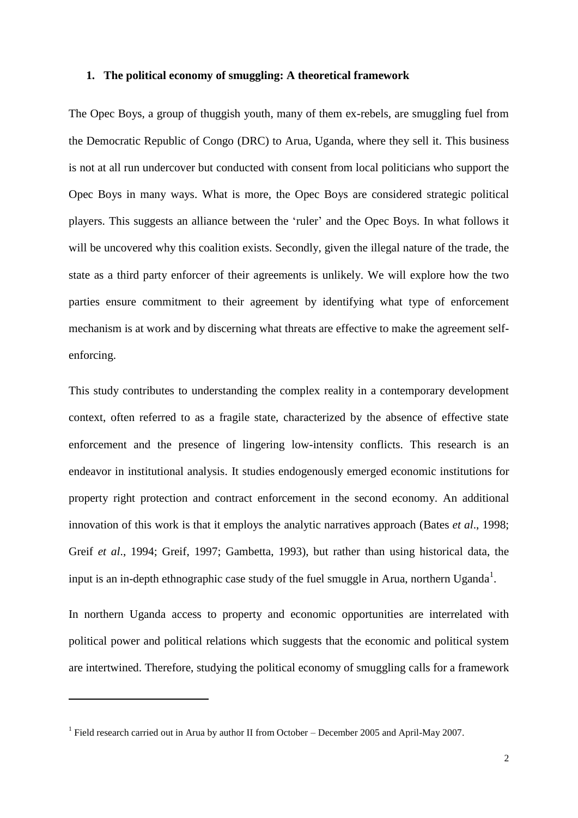#### **1. The political economy of smuggling: A theoretical framework**

The Opec Boys, a group of thuggish youth, many of them ex-rebels, are smuggling fuel from the Democratic Republic of Congo (DRC) to Arua, Uganda, where they sell it. This business is not at all run undercover but conducted with consent from local politicians who support the Opec Boys in many ways. What is more, the Opec Boys are considered strategic political players. This suggests an alliance between the 'ruler' and the Opec Boys. In what follows it will be uncovered why this coalition exists. Secondly, given the illegal nature of the trade, the state as a third party enforcer of their agreements is unlikely. We will explore how the two parties ensure commitment to their agreement by identifying what type of enforcement mechanism is at work and by discerning what threats are effective to make the agreement selfenforcing.

This study contributes to understanding the complex reality in a contemporary development context, often referred to as a fragile state, characterized by the absence of effective state enforcement and the presence of lingering low-intensity conflicts. This research is an endeavor in institutional analysis. It studies endogenously emerged economic institutions for property right protection and contract enforcement in the second economy. An additional innovation of this work is that it employs the analytic narratives approach (Bates *et al*., 1998; Greif *et al*., 1994; Greif, 1997; Gambetta, 1993), but rather than using historical data, the input is an in-depth ethnographic case study of the fuel smuggle in Arua, northern Uganda<sup>1</sup>.

In northern Uganda access to property and economic opportunities are interrelated with political power and political relations which suggests that the economic and political system are intertwined. Therefore, studying the political economy of smuggling calls for a framework

<sup>&</sup>lt;sup>1</sup> Field research carried out in Arua by author II from October – December 2005 and April-May 2007.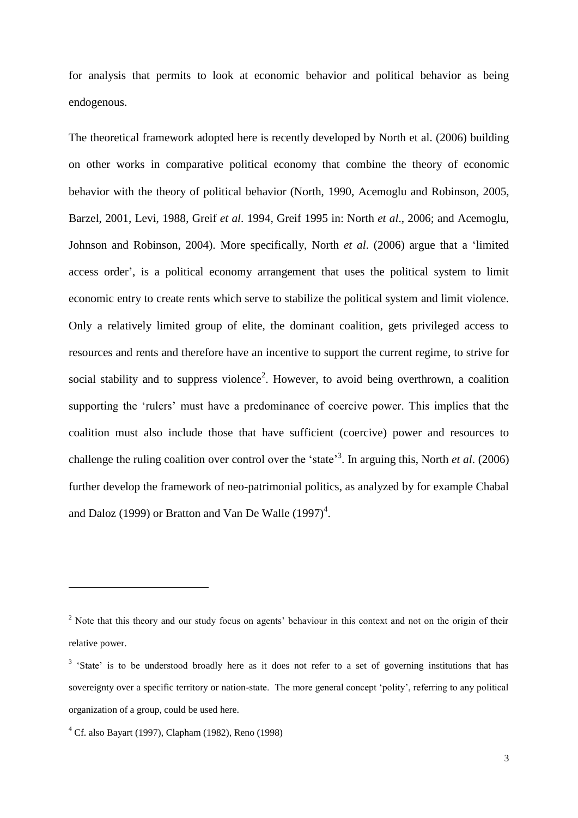for analysis that permits to look at economic behavior and political behavior as being endogenous.

The theoretical framework adopted here is recently developed by North et al. (2006) building on other works in comparative political economy that combine the theory of economic behavior with the theory of political behavior (North, 1990, Acemoglu and Robinson, 2005, Barzel, 2001, Levi, 1988, Greif *et al*. 1994, Greif 1995 in: North *et al*., 2006; and Acemoglu, Johnson and Robinson, 2004). More specifically, North *et al*. (2006) argue that a 'limited access order', is a political economy arrangement that uses the political system to limit economic entry to create rents which serve to stabilize the political system and limit violence. Only a relatively limited group of elite, the dominant coalition, gets privileged access to resources and rents and therefore have an incentive to support the current regime, to strive for social stability and to suppress violence<sup>2</sup>. However, to avoid being overthrown, a coalition supporting the 'rulers' must have a predominance of coercive power. This implies that the coalition must also include those that have sufficient (coercive) power and resources to challenge the ruling coalition over control over the 'state'<sup>3</sup>. In arguing this, North *et al.* (2006) further develop the framework of neo-patrimonial politics, as analyzed by for example Chabal and Daloz (1999) or Bratton and Van De Walle  $(1997)^4$ .

<sup>&</sup>lt;sup>2</sup> Note that this theory and our study focus on agents' behaviour in this context and not on the origin of their relative power.

<sup>&</sup>lt;sup>3</sup> 'State' is to be understood broadly here as it does not refer to a set of governing institutions that has sovereignty over a specific territory or nation-state. The more general concept 'polity', referring to any political organization of a group, could be used here.

<sup>4</sup> Cf. also Bayart (1997), Clapham (1982), Reno (1998)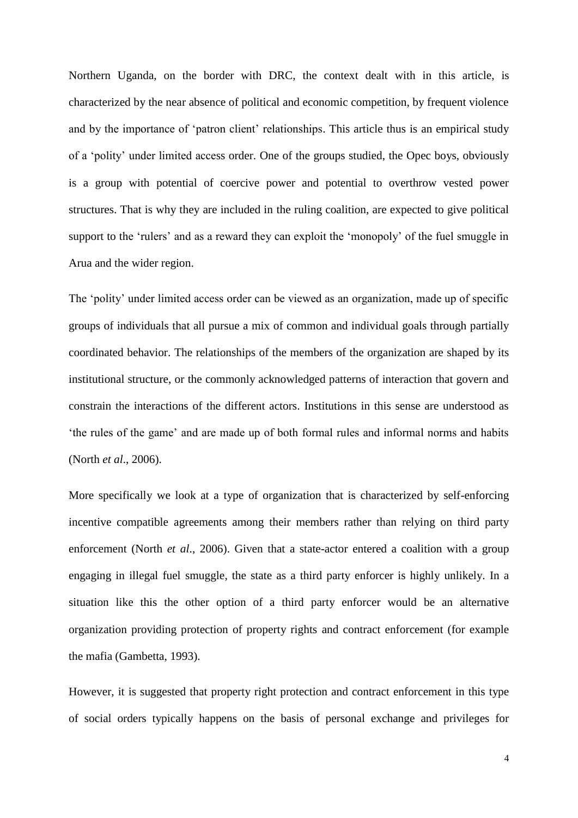Northern Uganda, on the border with DRC, the context dealt with in this article, is characterized by the near absence of political and economic competition, by frequent violence and by the importance of 'patron client' relationships. This article thus is an empirical study of a 'polity' under limited access order. One of the groups studied, the Opec boys, obviously is a group with potential of coercive power and potential to overthrow vested power structures. That is why they are included in the ruling coalition, are expected to give political support to the 'rulers' and as a reward they can exploit the 'monopoly' of the fuel smuggle in Arua and the wider region.

The 'polity' under limited access order can be viewed as an organization, made up of specific groups of individuals that all pursue a mix of common and individual goals through partially coordinated behavior. The relationships of the members of the organization are shaped by its institutional structure, or the commonly acknowledged patterns of interaction that govern and constrain the interactions of the different actors. Institutions in this sense are understood as 'the rules of the game' and are made up of both formal rules and informal norms and habits (North *et al*., 2006).

More specifically we look at a type of organization that is characterized by self-enforcing incentive compatible agreements among their members rather than relying on third party enforcement (North *et al*., 2006). Given that a state-actor entered a coalition with a group engaging in illegal fuel smuggle, the state as a third party enforcer is highly unlikely. In a situation like this the other option of a third party enforcer would be an alternative organization providing protection of property rights and contract enforcement (for example the mafia (Gambetta, 1993).

However, it is suggested that property right protection and contract enforcement in this type of social orders typically happens on the basis of personal exchange and privileges for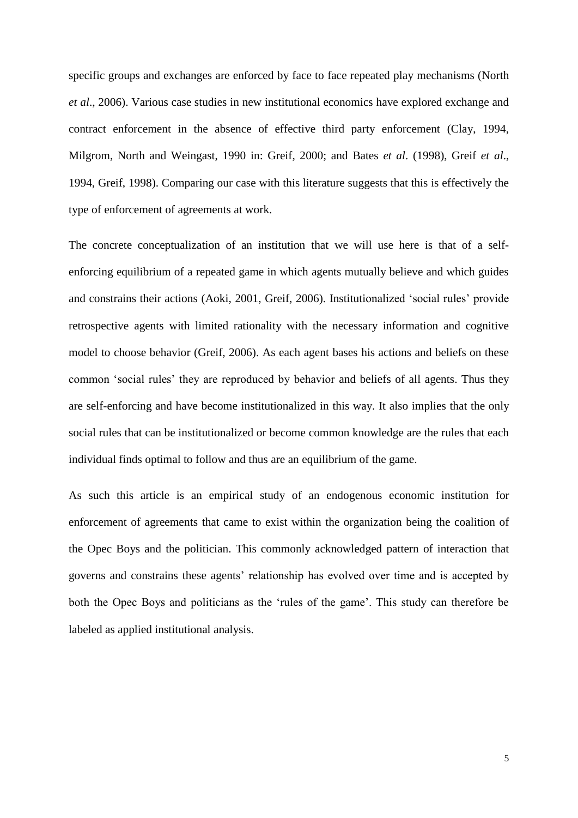specific groups and exchanges are enforced by face to face repeated play mechanisms (North *et al*., 2006). Various case studies in new institutional economics have explored exchange and contract enforcement in the absence of effective third party enforcement (Clay, 1994, Milgrom, North and Weingast, 1990 in: Greif, 2000; and Bates *et al*. (1998), Greif *et al*., 1994, Greif, 1998). Comparing our case with this literature suggests that this is effectively the type of enforcement of agreements at work.

The concrete conceptualization of an institution that we will use here is that of a selfenforcing equilibrium of a repeated game in which agents mutually believe and which guides and constrains their actions (Aoki, 2001, Greif, 2006). Institutionalized 'social rules' provide retrospective agents with limited rationality with the necessary information and cognitive model to choose behavior (Greif, 2006). As each agent bases his actions and beliefs on these common 'social rules' they are reproduced by behavior and beliefs of all agents. Thus they are self-enforcing and have become institutionalized in this way. It also implies that the only social rules that can be institutionalized or become common knowledge are the rules that each individual finds optimal to follow and thus are an equilibrium of the game.

As such this article is an empirical study of an endogenous economic institution for enforcement of agreements that came to exist within the organization being the coalition of the Opec Boys and the politician. This commonly acknowledged pattern of interaction that governs and constrains these agents' relationship has evolved over time and is accepted by both the Opec Boys and politicians as the 'rules of the game'. This study can therefore be labeled as applied institutional analysis.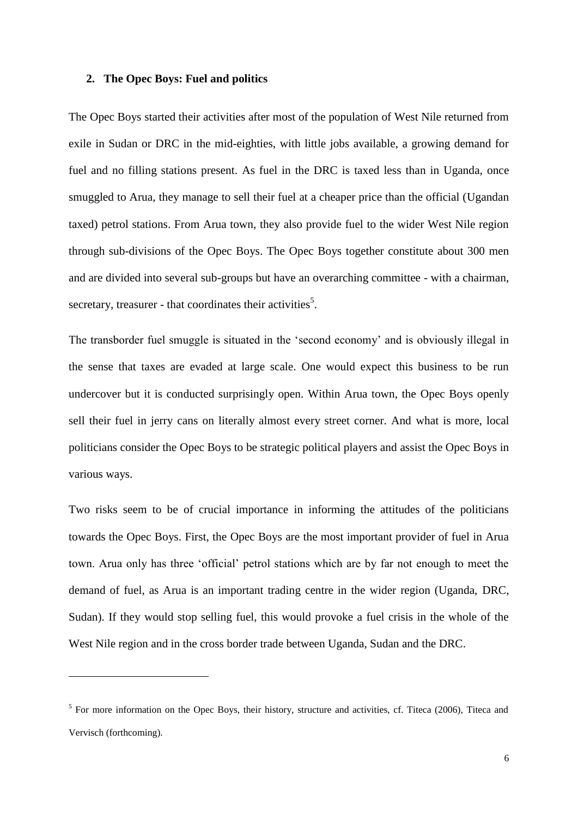#### **2. The Opec Boys: Fuel and politics**

1

The Opec Boys started their activities after most of the population of West Nile returned from exile in Sudan or DRC in the mid-eighties, with little jobs available, a growing demand for fuel and no filling stations present. As fuel in the DRC is taxed less than in Uganda, once smuggled to Arua, they manage to sell their fuel at a cheaper price than the official (Ugandan taxed) petrol stations. From Arua town, they also provide fuel to the wider West Nile region through sub-divisions of the Opec Boys. The Opec Boys together constitute about 300 men and are divided into several sub-groups but have an overarching committee - with a chairman, secretary, treasurer - that coordinates their activities<sup>5</sup>.

The transborder fuel smuggle is situated in the 'second economy' and is obviously illegal in the sense that taxes are evaded at large scale. One would expect this business to be run undercover but it is conducted surprisingly open. Within Arua town, the Opec Boys openly sell their fuel in jerry cans on literally almost every street corner. And what is more, local politicians consider the Opec Boys to be strategic political players and assist the Opec Boys in various ways.

Two risks seem to be of crucial importance in informing the attitudes of the politicians towards the Opec Boys. First, the Opec Boys are the most important provider of fuel in Arua town. Arua only has three 'official' petrol stations which are by far not enough to meet the demand of fuel, as Arua is an important trading centre in the wider region (Uganda, DRC, Sudan). If they would stop selling fuel, this would provoke a fuel crisis in the whole of the West Nile region and in the cross border trade between Uganda, Sudan and the DRC.

<sup>&</sup>lt;sup>5</sup> For more information on the Opec Boys, their history, structure and activities, cf. Titeca (2006), Titeca and Vervisch (forthcoming).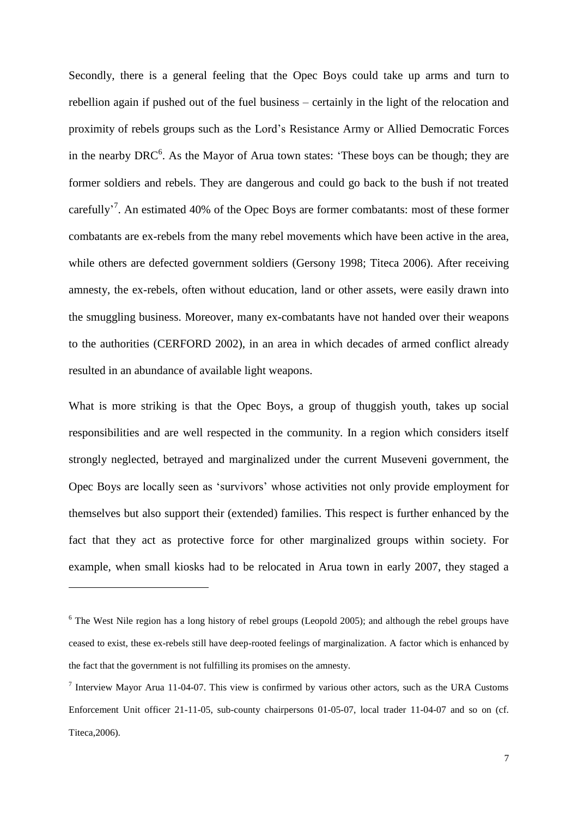Secondly, there is a general feeling that the Opec Boys could take up arms and turn to rebellion again if pushed out of the fuel business – certainly in the light of the relocation and proximity of rebels groups such as the Lord's Resistance Army or Allied Democratic Forces in the nearby  $DRC^6$ . As the Mayor of Arua town states: 'These boys can be though; they are former soldiers and rebels. They are dangerous and could go back to the bush if not treated carefully<sup>'7</sup>. An estimated 40% of the Opec Boys are former combatants: most of these former combatants are ex-rebels from the many rebel movements which have been active in the area, while others are defected government soldiers (Gersony 1998; Titeca 2006). After receiving amnesty, the ex-rebels, often without education, land or other assets, were easily drawn into the smuggling business. Moreover, many ex-combatants have not handed over their weapons to the authorities (CERFORD 2002), in an area in which decades of armed conflict already resulted in an abundance of available light weapons.

What is more striking is that the Opec Boys, a group of thuggish youth, takes up social responsibilities and are well respected in the community. In a region which considers itself strongly neglected, betrayed and marginalized under the current Museveni government, the Opec Boys are locally seen as 'survivors' whose activities not only provide employment for themselves but also support their (extended) families. This respect is further enhanced by the fact that they act as protective force for other marginalized groups within society. For example, when small kiosks had to be relocated in Arua town in early 2007, they staged a

<sup>&</sup>lt;sup>6</sup> The West Nile region has a long history of rebel groups (Leopold 2005); and although the rebel groups have ceased to exist, these ex-rebels still have deep-rooted feelings of marginalization. A factor which is enhanced by the fact that the government is not fulfilling its promises on the amnesty.

<sup>&</sup>lt;sup>7</sup> Interview Mayor Arua 11-04-07. This view is confirmed by various other actors, such as the URA Customs Enforcement Unit officer 21-11-05, sub-county chairpersons 01-05-07, local trader 11-04-07 and so on (cf. Titeca,2006).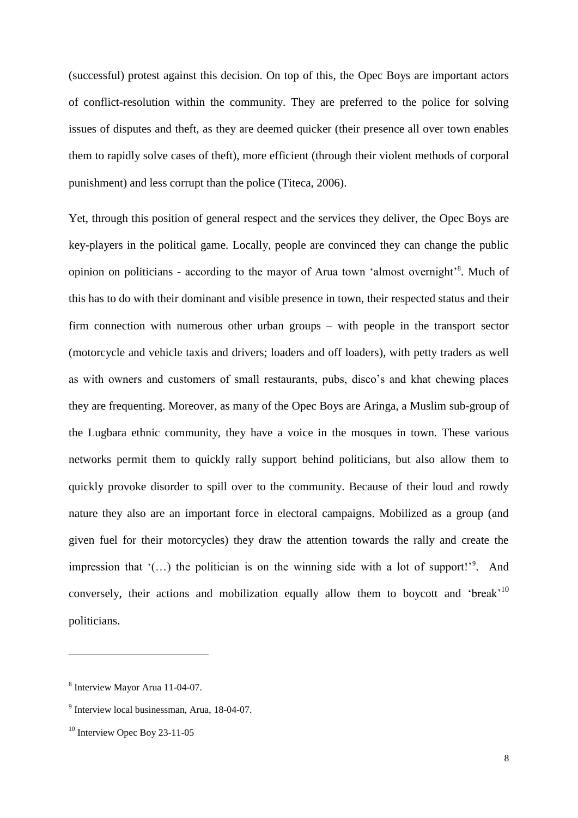(successful) protest against this decision. On top of this, the Opec Boys are important actors of conflict-resolution within the community. They are preferred to the police for solving issues of disputes and theft, as they are deemed quicker (their presence all over town enables them to rapidly solve cases of theft), more efficient (through their violent methods of corporal punishment) and less corrupt than the police (Titeca, 2006).

Yet, through this position of general respect and the services they deliver, the Opec Boys are key-players in the political game. Locally, people are convinced they can change the public opinion on politicians - according to the mayor of Arua town 'almost overnight'<sup>8</sup>. Much of this has to do with their dominant and visible presence in town, their respected status and their firm connection with numerous other urban groups – with people in the transport sector (motorcycle and vehicle taxis and drivers; loaders and off loaders), with petty traders as well as with owners and customers of small restaurants, pubs, disco's and khat chewing places they are frequenting. Moreover, as many of the Opec Boys are Aringa, a Muslim sub-group of the Lugbara ethnic community, they have a voice in the mosques in town. These various networks permit them to quickly rally support behind politicians, but also allow them to quickly provoke disorder to spill over to the community. Because of their loud and rowdy nature they also are an important force in electoral campaigns. Mobilized as a group (and given fuel for their motorcycles) they draw the attention towards the rally and create the impression that  $($ ...) the politician is on the winning side with a lot of support! $'$ <sup>9</sup>. And conversely, their actions and mobilization equally allow them to boycott and 'break'<sup>10</sup> politicians.

<sup>8</sup> Interview Mayor Arua 11-04-07.

<sup>&</sup>lt;sup>9</sup> Interview local businessman, Arua, 18-04-07.

<sup>&</sup>lt;sup>10</sup> Interview Opec Boy 23-11-05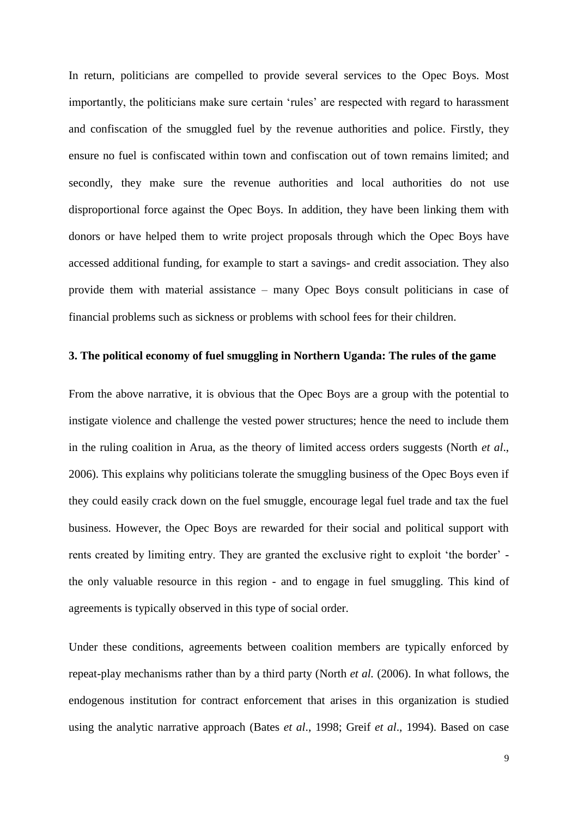In return, politicians are compelled to provide several services to the Opec Boys. Most importantly, the politicians make sure certain 'rules' are respected with regard to harassment and confiscation of the smuggled fuel by the revenue authorities and police. Firstly, they ensure no fuel is confiscated within town and confiscation out of town remains limited; and secondly, they make sure the revenue authorities and local authorities do not use disproportional force against the Opec Boys. In addition, they have been linking them with donors or have helped them to write project proposals through which the Opec Boys have accessed additional funding, for example to start a savings- and credit association. They also provide them with material assistance – many Opec Boys consult politicians in case of financial problems such as sickness or problems with school fees for their children.

#### **3. The political economy of fuel smuggling in Northern Uganda: The rules of the game**

From the above narrative, it is obvious that the Opec Boys are a group with the potential to instigate violence and challenge the vested power structures; hence the need to include them in the ruling coalition in Arua, as the theory of limited access orders suggests (North *et al*., 2006). This explains why politicians tolerate the smuggling business of the Opec Boys even if they could easily crack down on the fuel smuggle, encourage legal fuel trade and tax the fuel business. However, the Opec Boys are rewarded for their social and political support with rents created by limiting entry. They are granted the exclusive right to exploit 'the border' the only valuable resource in this region - and to engage in fuel smuggling. This kind of agreements is typically observed in this type of social order.

Under these conditions, agreements between coalition members are typically enforced by repeat-play mechanisms rather than by a third party (North *et al.* (2006). In what follows, the endogenous institution for contract enforcement that arises in this organization is studied using the analytic narrative approach (Bates *et al*., 1998; Greif *et al*., 1994). Based on case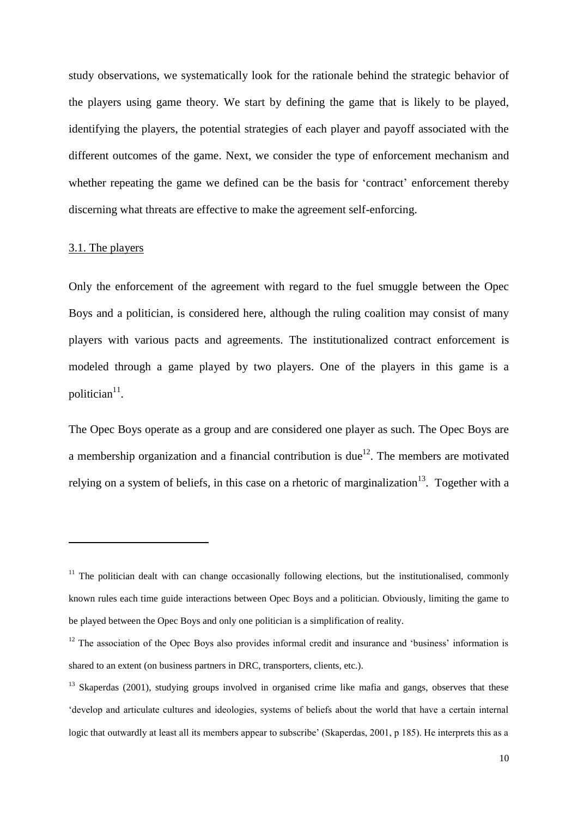study observations, we systematically look for the rationale behind the strategic behavior of the players using game theory. We start by defining the game that is likely to be played, identifying the players, the potential strategies of each player and payoff associated with the different outcomes of the game. Next, we consider the type of enforcement mechanism and whether repeating the game we defined can be the basis for 'contract' enforcement thereby discerning what threats are effective to make the agreement self-enforcing.

#### 3.1. The players

1

Only the enforcement of the agreement with regard to the fuel smuggle between the Opec Boys and a politician, is considered here, although the ruling coalition may consist of many players with various pacts and agreements. The institutionalized contract enforcement is modeled through a game played by two players. One of the players in this game is a politician $11$ .

The Opec Boys operate as a group and are considered one player as such. The Opec Boys are a membership organization and a financial contribution is due<sup>12</sup>. The members are motivated relying on a system of beliefs, in this case on a rhetoric of marginalization<sup>13</sup>. Together with a

 $11$  The politician dealt with can change occasionally following elections, but the institutionalised, commonly known rules each time guide interactions between Opec Boys and a politician. Obviously, limiting the game to be played between the Opec Boys and only one politician is a simplification of reality.

<sup>&</sup>lt;sup>12</sup> The association of the Opec Boys also provides informal credit and insurance and 'business' information is shared to an extent (on business partners in DRC, transporters, clients, etc.).

<sup>&</sup>lt;sup>13</sup> Skaperdas (2001), studying groups involved in organised crime like mafia and gangs, observes that these 'develop and articulate cultures and ideologies, systems of beliefs about the world that have a certain internal logic that outwardly at least all its members appear to subscribe' (Skaperdas, 2001, p 185). He interprets this as a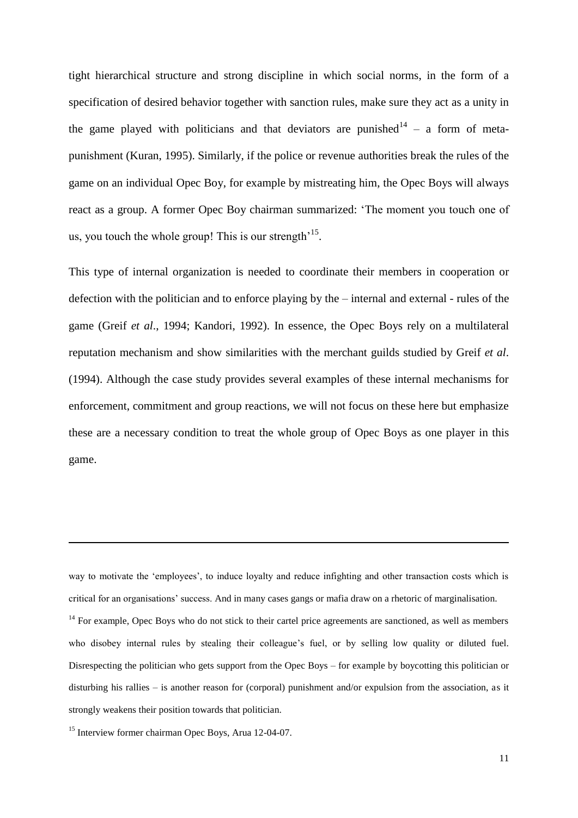tight hierarchical structure and strong discipline in which social norms, in the form of a specification of desired behavior together with sanction rules, make sure they act as a unity in the game played with politicians and that deviators are punished  $14 - a$  form of metapunishment (Kuran, 1995). Similarly, if the police or revenue authorities break the rules of the game on an individual Opec Boy, for example by mistreating him, the Opec Boys will always react as a group. A former Opec Boy chairman summarized: 'The moment you touch one of us, you touch the whole group! This is our strength<sup> $15$ </sup>.

This type of internal organization is needed to coordinate their members in cooperation or defection with the politician and to enforce playing by the – internal and external - rules of the game (Greif *et al*., 1994; Kandori, 1992). In essence, the Opec Boys rely on a multilateral reputation mechanism and show similarities with the merchant guilds studied by Greif *et al*. (1994). Although the case study provides several examples of these internal mechanisms for enforcement, commitment and group reactions, we will not focus on these here but emphasize these are a necessary condition to treat the whole group of Opec Boys as one player in this game.

way to motivate the 'employees', to induce loyalty and reduce infighting and other transaction costs which is critical for an organisations' success. And in many cases gangs or mafia draw on a rhetoric of marginalisation.

<sup>14</sup> For example, Opec Boys who do not stick to their cartel price agreements are sanctioned, as well as members who disobey internal rules by stealing their colleague's fuel, or by selling low quality or diluted fuel. Disrespecting the politician who gets support from the Opec Boys – for example by boycotting this politician or disturbing his rallies – is another reason for (corporal) punishment and/or expulsion from the association, as it strongly weakens their position towards that politician.

<sup>15</sup> Interview former chairman Opec Boys, Arua 12-04-07.

 $\overline{a}$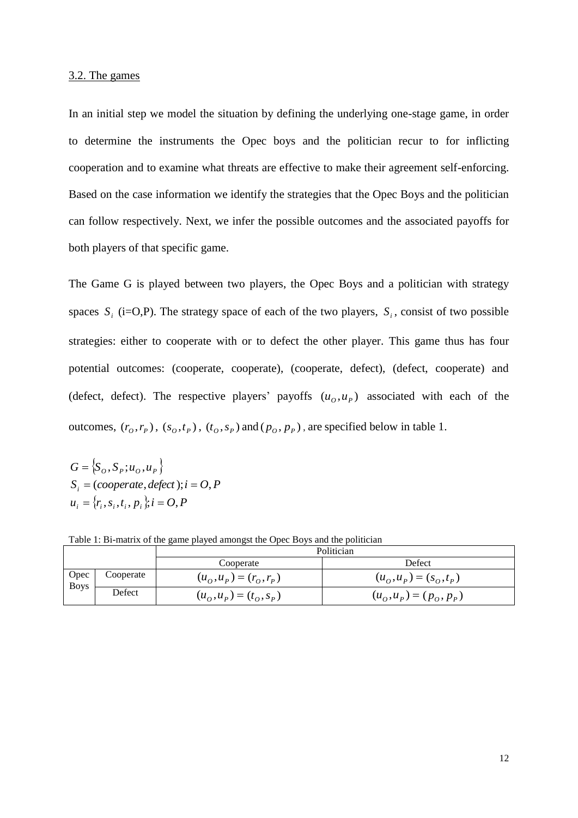#### 3.2. The games

In an initial step we model the situation by defining the underlying one-stage game, in order to determine the instruments the Opec boys and the politician recur to for inflicting cooperation and to examine what threats are effective to make their agreement self-enforcing. Based on the case information we identify the strategies that the Opec Boys and the politician can follow respectively. Next, we infer the possible outcomes and the associated payoffs for both players of that specific game.

The Game G is played between two players, the Opec Boys and a politician with strategy spaces  $S_i$  (i=O,P). The strategy space of each of the two players,  $S_i$ , consist of two possible strategies: either to cooperate with or to defect the other player. This game thus has four potential outcomes: (cooperate, cooperate), (cooperate, defect), (defect, cooperate) and (defect, defect). The respective players' payoffs  $(u_0, u_p)$  associated with each of the outcomes,  $(r_o, r_p)$ ,  $(s_o, t_p)$ ,  $(t_o, s_p)$  and  $(p_o, p_p)$ , are specified below in table 1.

 $G = \{S_O, S_P; u_O, u_P\}$  $u_i = \{r_i, s_i, t_i, p_i\}; i = O, P$  $S_i = (cooperate, defect); i = O, P$ 

Table 1: Bi-matrix of the game played amongst the Opec Boys and the politician

|                     |           | Politician                |                           |  |  |  |
|---------------------|-----------|---------------------------|---------------------------|--|--|--|
|                     |           | Cooperate                 | Defect                    |  |  |  |
| Opec<br><b>Boys</b> | Cooperate | $(u_0, u_p) = (r_0, r_p)$ | $(u_0, u_p) = (s_0, t_p)$ |  |  |  |
|                     | Defect    | $(u_0, u_p) = (t_0, s_p)$ | $(u_0, u_p) = (p_0, p_p)$ |  |  |  |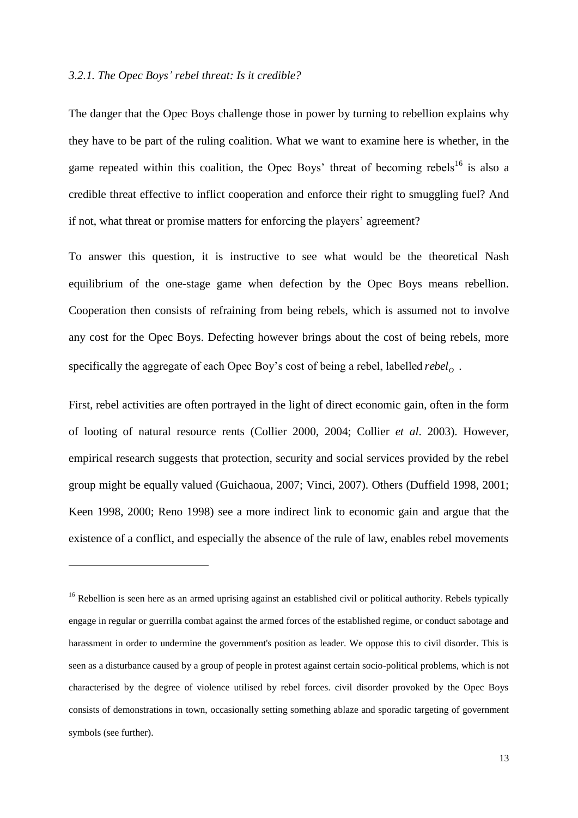#### *3.2.1. The Opec Boys' rebel threat: Is it credible?*

<u>.</u>

The danger that the Opec Boys challenge those in power by turning to rebellion explains why they have to be part of the ruling coalition. What we want to examine here is whether, in the game repeated within this coalition, the Opec Boys' threat of becoming rebels<sup>16</sup> is also a credible threat effective to inflict cooperation and enforce their right to smuggling fuel? And if not, what threat or promise matters for enforcing the players' agreement?

To answer this question, it is instructive to see what would be the theoretical Nash equilibrium of the one-stage game when defection by the Opec Boys means rebellion. Cooperation then consists of refraining from being rebels, which is assumed not to involve any cost for the Opec Boys. Defecting however brings about the cost of being rebels, more specifically the aggregate of each Opec Boy's cost of being a rebel, labelled *rebel*<sub>o</sub>.

First, rebel activities are often portrayed in the light of direct economic gain, often in the form of looting of natural resource rents (Collier 2000, 2004; Collier *et al*. 2003). However, empirical research suggests that protection, security and social services provided by the rebel group might be equally valued (Guichaoua, 2007; Vinci, 2007). Others (Duffield 1998, 2001; Keen 1998, 2000; Reno 1998) see a more indirect link to economic gain and argue that the existence of a conflict, and especially the absence of the rule of law, enables rebel movements

 $16$  Rebellion is seen here as an armed uprising against an established civil or political authority. Rebels typically engage in regular or guerrilla combat against the armed forces of the established regime, or conduct sabotage and harassment in order to undermine the government's position as leader. We oppose this to civil disorder. This is seen as a disturbance caused by a group of people in protest against certain socio-political problems, which is not characterised by the degree of violence utilised by rebel forces. civil disorder provoked by the Opec Boys consists of demonstrations in town, occasionally setting something ablaze and sporadic targeting of government symbols (see further).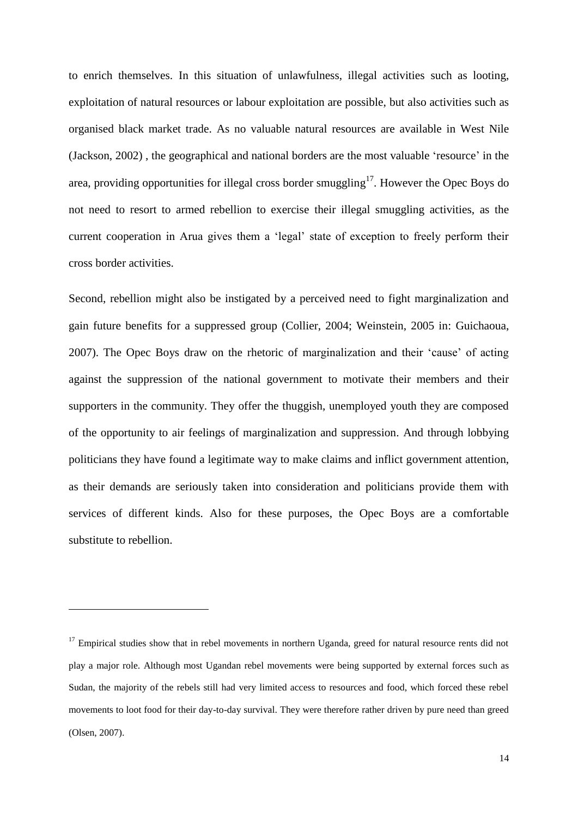to enrich themselves. In this situation of unlawfulness, illegal activities such as looting, exploitation of natural resources or labour exploitation are possible, but also activities such as organised black market trade. As no valuable natural resources are available in West Nile (Jackson, 2002) , the geographical and national borders are the most valuable 'resource' in the area, providing opportunities for illegal cross border smuggling<sup>17</sup>. However the Opec Boys do not need to resort to armed rebellion to exercise their illegal smuggling activities, as the current cooperation in Arua gives them a 'legal' state of exception to freely perform their cross border activities.

Second, rebellion might also be instigated by a perceived need to fight marginalization and gain future benefits for a suppressed group (Collier, 2004; Weinstein, 2005 in: Guichaoua, 2007). The Opec Boys draw on the rhetoric of marginalization and their 'cause' of acting against the suppression of the national government to motivate their members and their supporters in the community. They offer the thuggish, unemployed youth they are composed of the opportunity to air feelings of marginalization and suppression. And through lobbying politicians they have found a legitimate way to make claims and inflict government attention, as their demands are seriously taken into consideration and politicians provide them with services of different kinds. Also for these purposes, the Opec Boys are a comfortable substitute to rebellion.

 $17$  Empirical studies show that in rebel movements in northern Uganda, greed for natural resource rents did not play a major role. Although most Ugandan rebel movements were being supported by external forces such as Sudan, the majority of the rebels still had very limited access to resources and food, which forced these rebel movements to loot food for their day-to-day survival. They were therefore rather driven by pure need than greed (Olsen, 2007).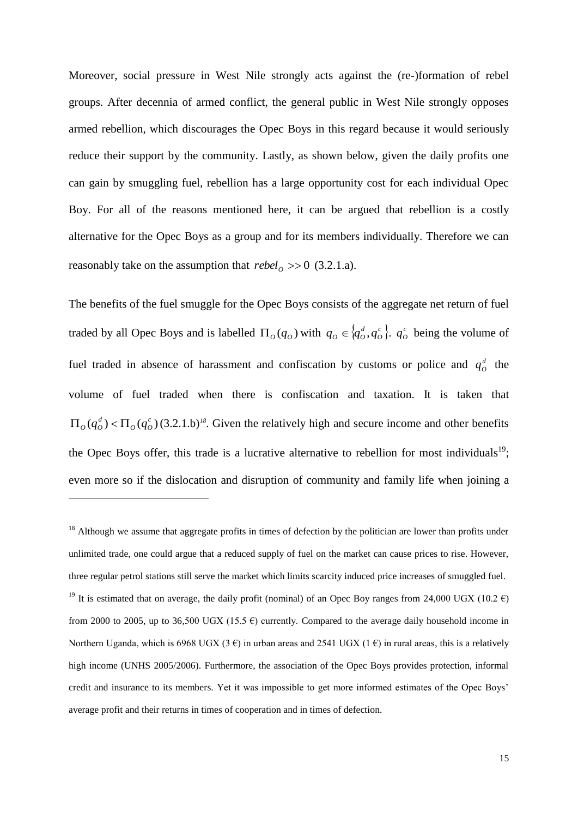Moreover, social pressure in West Nile strongly acts against the (re-)formation of rebel groups. After decennia of armed conflict, the general public in West Nile strongly opposes armed rebellion, which discourages the Opec Boys in this regard because it would seriously reduce their support by the community. Lastly, as shown below, given the daily profits one can gain by smuggling fuel, rebellion has a large opportunity cost for each individual Opec Boy. For all of the reasons mentioned here, it can be argued that rebellion is a costly alternative for the Opec Boys as a group and for its members individually. Therefore we can reasonably take on the assumption that  $rebel<sub>O</sub> >> 0$  (3.2.1.a).

The benefits of the fuel smuggle for the Opec Boys consists of the aggregate net return of fuel traded by all Opec Boys and is labelled  $\Pi_o(q_o)$  with  $q_o \in \{q_o^d, q_o^c\}$ . *O*  $q_o \in \{q_o^d, q_o^c\}$ ,  $q_o^c$  being the volume of fuel traded in absence of harassment and confiscation by customs or police and  $q_o^d$  the volume of fuel traded when there is confiscation and taxation. It is taken that  $(q_o^d) < \Pi_o(q_o^c)$  $\Pi_o(q_o^d) < \Pi_o(q_o^c)$  (3.2.1.b)<sup>18</sup>. Given the relatively high and secure income and other benefits the Opec Boys offer, this trade is a lucrative alternative to rebellion for most individuals<sup>19</sup>; even more so if the dislocation and disruption of community and family life when joining a

<u>.</u>

 $18$  Although we assume that aggregate profits in times of defection by the politician are lower than profits under unlimited trade, one could argue that a reduced supply of fuel on the market can cause prices to rise. However, three regular petrol stations still serve the market which limits scarcity induced price increases of smuggled fuel. <sup>19</sup> It is estimated that on average, the daily profit (nominal) of an Opec Boy ranges from 24,000 UGX (10.2  $\epsilon$ ) from 2000 to 2005, up to 36,500 UGX (15.5  $\epsilon$ ) currently. Compared to the average daily household income in Northern Uganda, which is 6968 UGX (3  $\epsilon$ ) in urban areas and 2541 UGX (1 $\epsilon$ ) in rural areas, this is a relatively high income (UNHS 2005/2006). Furthermore, the association of the Opec Boys provides protection, informal credit and insurance to its members. Yet it was impossible to get more informed estimates of the Opec Boys' average profit and their returns in times of cooperation and in times of defection.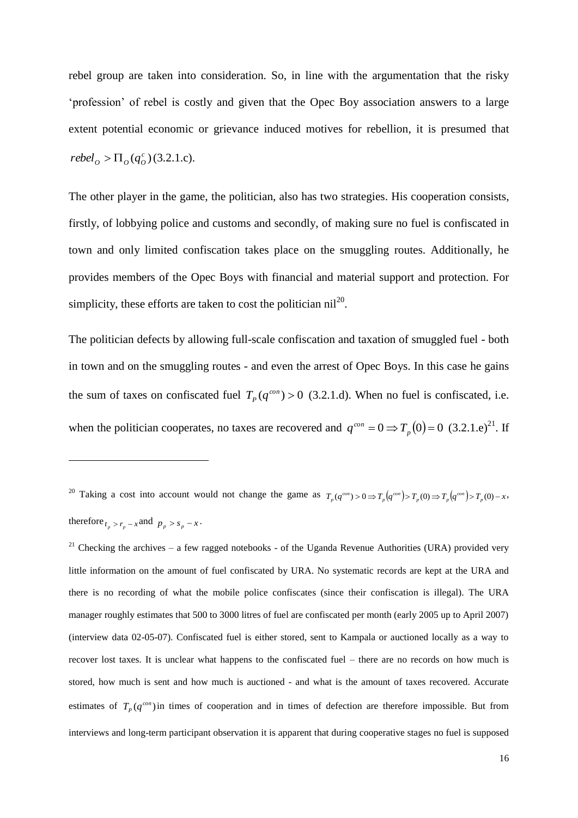rebel group are taken into consideration. So, in line with the argumentation that the risky 'profession' of rebel is costly and given that the Opec Boy association answers to a large extent potential economic or grievance induced motives for rebellion, it is presumed that  $rebel<sub>O</sub> > \Pi<sub>O</sub>(q<sub>O</sub><sup>c</sup>)(3.2.1.c).$ 

The other player in the game, the politician, also has two strategies. His cooperation consists, firstly, of lobbying police and customs and secondly, of making sure no fuel is confiscated in town and only limited confiscation takes place on the smuggling routes. Additionally, he provides members of the Opec Boys with financial and material support and protection. For simplicity, these efforts are taken to cost the politician  $\text{nil}^{20}$ .

The politician defects by allowing full-scale confiscation and taxation of smuggled fuel - both in town and on the smuggling routes - and even the arrest of Opec Boys. In this case he gains the sum of taxes on confiscated fuel  $T_p(q^{con}) > 0$  (3.2.1.d). When no fuel is confiscated, i.e. when the politician cooperates, no taxes are recovered and  $q^{con} = 0 \Rightarrow T_p(0) = 0$  (3.2.1.e)<sup>21</sup>. If

1

 $21$  Checking the archives – a few ragged notebooks - of the Uganda Revenue Authorities (URA) provided very little information on the amount of fuel confiscated by URA. No systematic records are kept at the URA and there is no recording of what the mobile police confiscates (since their confiscation is illegal). The URA manager roughly estimates that 500 to 3000 litres of fuel are confiscated per month (early 2005 up to April 2007) (interview data 02-05-07). Confiscated fuel is either stored, sent to Kampala or auctioned locally as a way to recover lost taxes. It is unclear what happens to the confiscated fuel – there are no records on how much is stored, how much is sent and how much is auctioned - and what is the amount of taxes recovered. Accurate estimates of  $T_p(q^{con})$  in times of cooperation and in times of defection are therefore impossible. But from interviews and long-term participant observation it is apparent that during cooperative stages no fuel is supposed

<sup>&</sup>lt;sup>20</sup> Taking a cost into account would not change the game as  $T_p(q^{\text{con}}) > 0 \Rightarrow T_p(q^{\text{con}}) > T_p(q^{\text{con}}) > T_p(q^{\text{con}}) > T_p(q) - x$ , therefore  $t_p > r_p - x$  and  $p_p > s_p - x$ .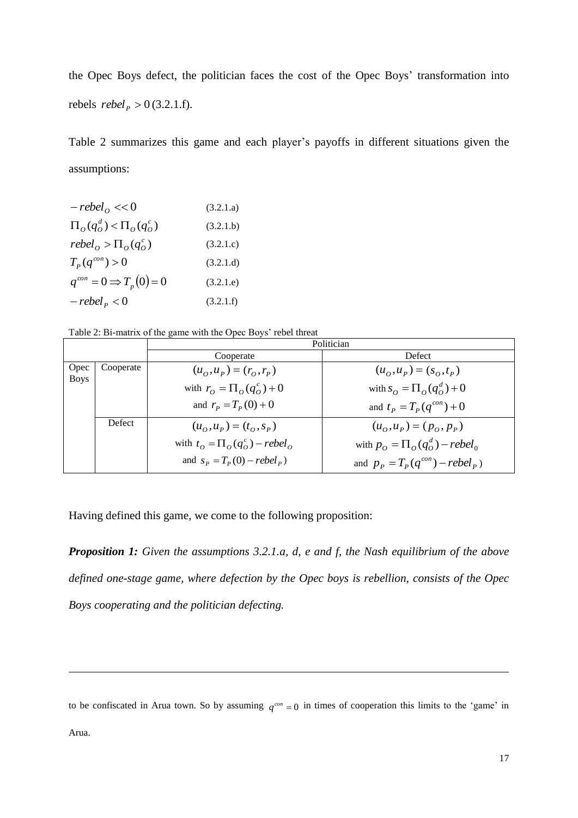the Opec Boys defect, the politician faces the cost of the Opec Boys' transformation into rebels  $rebel_{P} > 0$  (3.2.1.f).

Table 2 summarizes this game and each player's payoffs in different situations given the assumptions:

| $-rebelo << 0$                   | (3.2.1.a) |
|----------------------------------|-----------|
| $\Pi_o(q_o^d) < \Pi_o(q_o^c)$    | (3.2.1.b) |
| $rebelo > \Pio(qoc)$             | (3.2.1.c) |
| $T_p(q^{con}) > 0$               | (3.2.1.d) |
| $q^{con}=0 \Rightarrow T_p(0)=0$ | (3.2.1.e) |
| $-rebel_{p} < 0$                 | (3.2.1.f) |

Table 2: Bi-matrix of the game with the Opec Boys' rebel threat

|                     |           | Politician                                          |                                        |  |
|---------------------|-----------|-----------------------------------------------------|----------------------------------------|--|
|                     |           | Cooperate                                           | <b>Defect</b>                          |  |
| Opec<br><b>Boys</b> | Cooperate | $(u_0, u_p) = (r_0, r_p)$                           | $(u_0, u_p) = (s_0, t_p)$              |  |
|                     |           | with $r_o = \prod_o (q_o^c) + 0$                    | with $s_o = \prod_{o} (q_o^d) + 0$     |  |
|                     |           | and $r_p = T_p(0) + 0$                              | and $t_p = T_p(q^{con}) + 0$           |  |
|                     | Defect    | $(u_{\alpha}, u_{\beta}) = (t_{\alpha}, s_{\beta})$ | $(u_0, u_p) = (p_0, p_p)$              |  |
|                     |           | with $t_o = \prod_o (q_o^c) - rebel_o$              | with $p_o = \prod_o (q_o^d) - rebel_o$ |  |
|                     |           | and $S_p = T_p(0) - rebel_p$                        | and $p_p = T_p(q^{con}) - rebel_p$     |  |

Having defined this game, we come to the following proposition:

*Proposition 1: Given the assumptions 3.2.1.a, d, e and f, the Nash equilibrium of the above defined one-stage game, where defection by the Opec boys is rebellion, consists of the Opec Boys cooperating and the politician defecting.*

to be confiscated in Arua town. So by assuming  $q^{con} = 0$  in times of cooperation this limits to the 'game' in

Arua.

 $\overline{a}$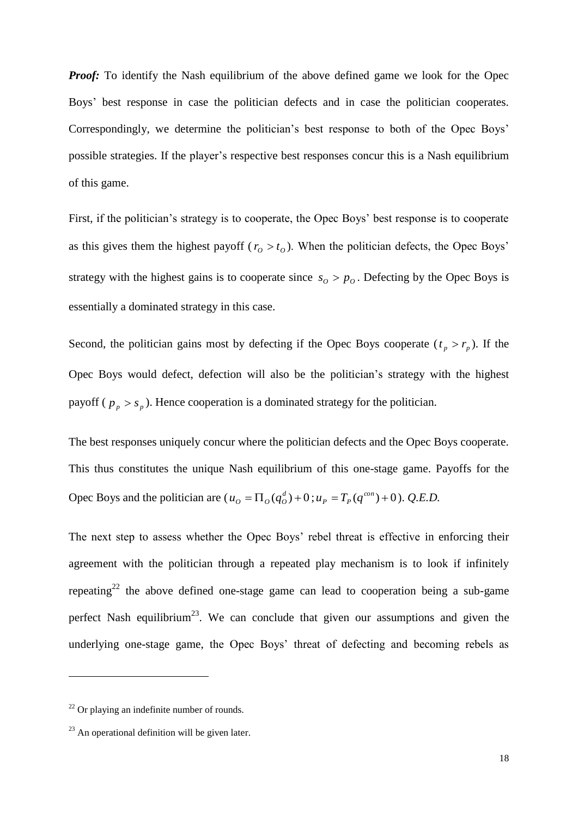*Proof:* To identify the Nash equilibrium of the above defined game we look for the Opec Boys' best response in case the politician defects and in case the politician cooperates. Correspondingly, we determine the politician's best response to both of the Opec Boys' possible strategies. If the player's respective best responses concur this is a Nash equilibrium of this game.

First, if the politician's strategy is to cooperate, the Opec Boys' best response is to cooperate as this gives them the highest payoff ( $r_o > t_o$ ). When the politician defects, the Opec Boys' strategy with the highest gains is to cooperate since  $s_o > p_o$ . Defecting by the Opec Boys is essentially a dominated strategy in this case.

Second, the politician gains most by defecting if the Opec Boys cooperate  $(t_p > r_p)$ . If the Opec Boys would defect, defection will also be the politician's strategy with the highest payoff ( $p_p > s_p$ ). Hence cooperation is a dominated strategy for the politician.

The best responses uniquely concur where the politician defects and the Opec Boys cooperate. This thus constitutes the unique Nash equilibrium of this one-stage game. Payoffs for the Opec Boys and the politician are  $(u_0 = \Pi_0(q_0^d) + 0; u_p = T_p(q^{con}) + 0)$ . *Q.E.D.* 

The next step to assess whether the Opec Boys' rebel threat is effective in enforcing their agreement with the politician through a repeated play mechanism is to look if infinitely repeating<sup>22</sup> the above defined one-stage game can lead to cooperation being a sub-game perfect Nash equilibrium<sup>23</sup>. We can conclude that given our assumptions and given the underlying one-stage game, the Opec Boys' threat of defecting and becoming rebels as

 $22$  Or playing an indefinite number of rounds.

 $23$  An operational definition will be given later.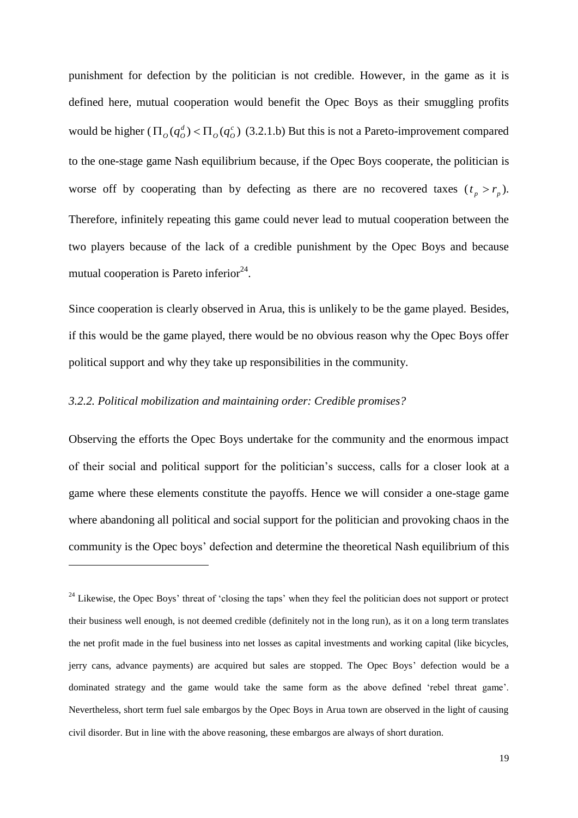punishment for defection by the politician is not credible. However, in the game as it is defined here, mutual cooperation would benefit the Opec Boys as their smuggling profits would be higher  $(\Pi_o(q_o^d) < \Pi_o(q_o^c))$  $\Pi_o(q_o^d)$  <  $\Pi_o(q_o^c)$  (3.2.1.b) But this is not a Pareto-improvement compared to the one-stage game Nash equilibrium because, if the Opec Boys cooperate, the politician is worse off by cooperating than by defecting as there are no recovered taxes  $(t_p > r_p)$ . Therefore, infinitely repeating this game could never lead to mutual cooperation between the two players because of the lack of a credible punishment by the Opec Boys and because mutual cooperation is Pareto inferior $24$ .

Since cooperation is clearly observed in Arua, this is unlikely to be the game played. Besides, if this would be the game played, there would be no obvious reason why the Opec Boys offer political support and why they take up responsibilities in the community.

#### *3.2.2. Political mobilization and maintaining order: Credible promises?*

<u>.</u>

Observing the efforts the Opec Boys undertake for the community and the enormous impact of their social and political support for the politician's success, calls for a closer look at a game where these elements constitute the payoffs. Hence we will consider a one-stage game where abandoning all political and social support for the politician and provoking chaos in the community is the Opec boys' defection and determine the theoretical Nash equilibrium of this

<sup>&</sup>lt;sup>24</sup> Likewise, the Opec Boys' threat of 'closing the taps' when they feel the politician does not support or protect their business well enough, is not deemed credible (definitely not in the long run), as it on a long term translates the net profit made in the fuel business into net losses as capital investments and working capital (like bicycles, jerry cans, advance payments) are acquired but sales are stopped. The Opec Boys' defection would be a dominated strategy and the game would take the same form as the above defined 'rebel threat game'. Nevertheless, short term fuel sale embargos by the Opec Boys in Arua town are observed in the light of causing civil disorder. But in line with the above reasoning, these embargos are always of short duration.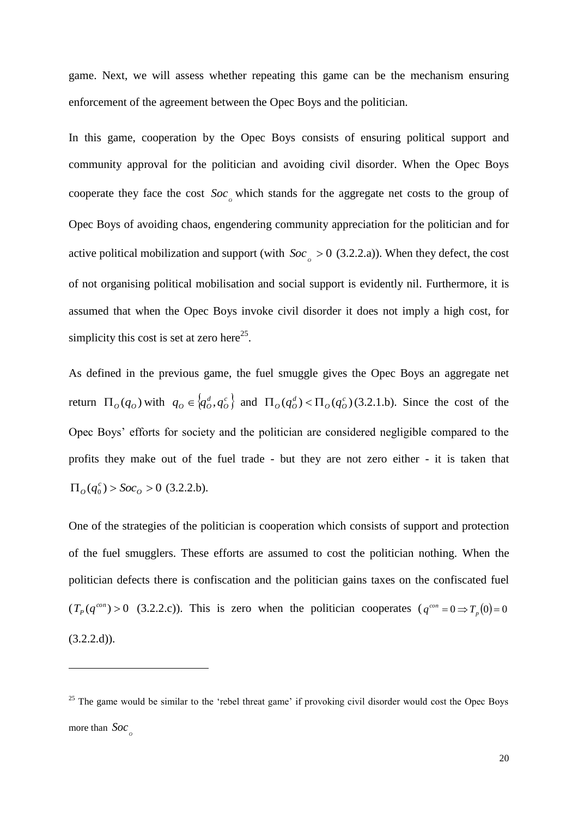game. Next, we will assess whether repeating this game can be the mechanism ensuring enforcement of the agreement between the Opec Boys and the politician.

In this game, cooperation by the Opec Boys consists of ensuring political support and community approval for the politician and avoiding civil disorder. When the Opec Boys cooperate they face the cost  $Soc_{\rho}$  which stands for the aggregate net costs to the group of Opec Boys of avoiding chaos, engendering community appreciation for the politician and for active political mobilization and support (with  $Soc_{\rho} > 0$  (3.2.2.a)). When they defect, the cost of not organising political mobilisation and social support is evidently nil. Furthermore, it is assumed that when the Opec Boys invoke civil disorder it does not imply a high cost, for simplicity this cost is set at zero here<sup>25</sup>.

As defined in the previous game, the fuel smuggle gives the Opec Boys an aggregate net return  $\Pi_o(q_o)$  with  $q_o \in \{q_o^d, q_o^c\}$ *O*  $q_o \in \{q_o^d, q_o^c\}$  and  $\Pi_o(q_o^d) < \Pi_o(q_o^c)$  $\Pi_{\theta}(q_{\theta}^d) < \Pi_{\theta}(q_{\theta}^c)$  (3.2.1.b). Since the cost of the Opec Boys' efforts for society and the politician are considered negligible compared to the profits they make out of the fuel trade - but they are not zero either - it is taken that  $\Pi_o(q_o^c)$  >  $Soc_o$  > 0 (3.2.2.b).

One of the strategies of the politician is cooperation which consists of support and protection of the fuel smugglers. These efforts are assumed to cost the politician nothing. When the politician defects there is confiscation and the politician gains taxes on the confiscated fuel  $(T_p(q^{\text{con}}) > 0 \text{ (3.2.2.c)}).$  This is zero when the politician cooperates  $(q^{\text{con}} = 0 \Rightarrow T_p(0) = 0$  $(3.2.2.d)$ ).

<u>.</u>

<sup>&</sup>lt;sup>25</sup> The game would be similar to the 'rebel threat game' if provoking civil disorder would cost the Opec Boys more than  $Soc_{\rho}$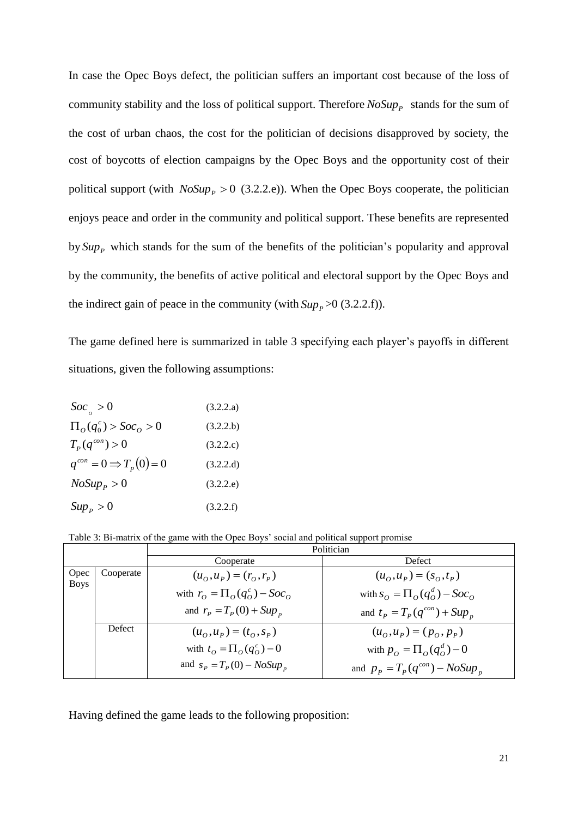In case the Opec Boys defect, the politician suffers an important cost because of the loss of community stability and the loss of political support. Therefore  $NoSup_{P}$  stands for the sum of the cost of urban chaos, the cost for the politician of decisions disapproved by society, the cost of boycotts of election campaigns by the Opec Boys and the opportunity cost of their political support (with  $NoSup_{p} > 0$  (3.2.2.e)). When the Opec Boys cooperate, the politician enjoys peace and order in the community and political support. These benefits are represented by  $Sup_{P}$  which stands for the sum of the benefits of the politician's popularity and approval by the community, the benefits of active political and electoral support by the Opec Boys and the indirect gain of peace in the community (with  $Sup_{P} > 0$  (3.2.2.f)).

The game defined here is summarized in table 3 specifying each player's payoffs in different situations, given the following assumptions:

| $Soc_{\rho} > 0$                         | (3.2.2.a) |
|------------------------------------------|-----------|
| $\Pi_{\alpha}(q_0^c) > Soc_{\alpha} > 0$ | (3.2.2.b) |
| $T_p(q^{con}) > 0$                       | (3.2.2.c) |
| $q^{con} = 0 \Rightarrow T_p(0) = 0$     | (3.2.2.d) |
| $NoSup_{P} > 0$                          | (3.2.2.e) |
| $Sup_{P} > 0$                            | (3.2.2.f) |

| Table 3: Bi-matrix of the game with the Opec Boys' social and political support promise |  |  |  |
|-----------------------------------------------------------------------------------------|--|--|--|
|                                                                                         |  |  |  |

|                     |           | Politician                                          |                                        |  |  |  |  |
|---------------------|-----------|-----------------------------------------------------|----------------------------------------|--|--|--|--|
|                     |           | Cooperate                                           | Defect                                 |  |  |  |  |
| Opec<br><b>Boys</b> | Cooperate | $(u_0, u_p) = (r_0, r_p)$                           | $(u_0, u_p) = (s_0, t_p)$              |  |  |  |  |
|                     |           | with $r_o = \prod_{o} (q_o^c) - Soc_o$              | with $s_o = \prod_{o} (q_o^d) - Soc_o$ |  |  |  |  |
|                     |           | and $r_p = T_p(0) + Sup_p$                          | and $t_P = T_P(q^{con}) + Sup_n$       |  |  |  |  |
|                     | Defect    | $(u_{\alpha}, u_{\beta}) = (t_{\alpha}, s_{\beta})$ | $(u_0, u_p) = (p_0, p_p)$              |  |  |  |  |
|                     |           | with $t_o = \prod_o (q_o^c) - 0$                    | with $p_o = \prod_{o} (q_o^d) - 0$     |  |  |  |  |
|                     |           | and $s_p = T_p(0) - NoSup_p$                        | and $p_p = T_p(q^{con}) - NoSup_p$     |  |  |  |  |

Having defined the game leads to the following proposition: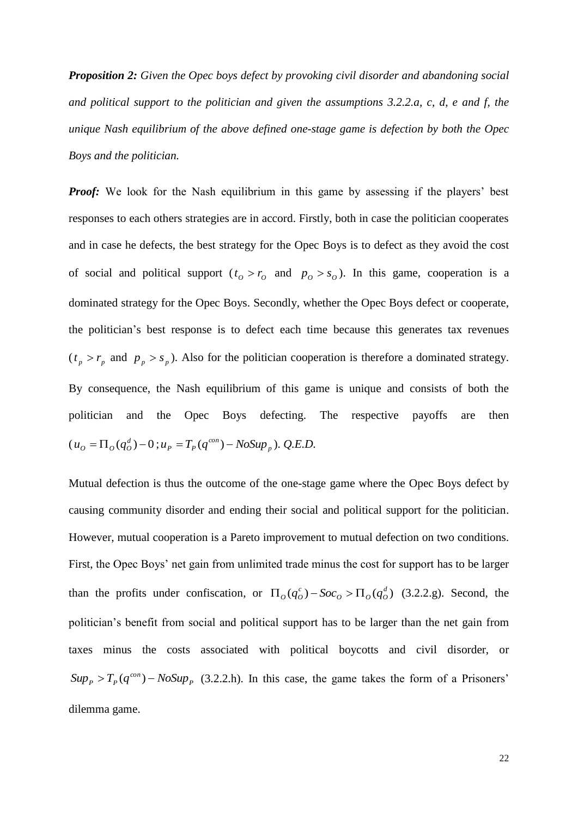*Proposition 2: Given the Opec boys defect by provoking civil disorder and abandoning social and political support to the politician and given the assumptions 3.2.2.a, c, d, e and f, the unique Nash equilibrium of the above defined one-stage game is defection by both the Opec Boys and the politician.*

*Proof:* We look for the Nash equilibrium in this game by assessing if the players' best responses to each others strategies are in accord. Firstly, both in case the politician cooperates and in case he defects, the best strategy for the Opec Boys is to defect as they avoid the cost of social and political support  $(t_o > r_o$  and  $p_o > s_o$ ). In this game, cooperation is a dominated strategy for the Opec Boys. Secondly, whether the Opec Boys defect or cooperate, the politician's best response is to defect each time because this generates tax revenues  $(t_p > r_p$  and  $p_p > s_p$ ). Also for the politician cooperation is therefore a dominated strategy. By consequence, the Nash equilibrium of this game is unique and consists of both the politician and the Opec Boys defecting. The respective payoffs are then  $(u_o = \Pi_o(q_o^d) - 0$ ;  $u_p = T_p(q^{con}) - NoSup_p$  $u_p = T_p(q^{con}) - NoSup_p$ ). *Q.E.D.* 

Mutual defection is thus the outcome of the one-stage game where the Opec Boys defect by causing community disorder and ending their social and political support for the politician. However, mutual cooperation is a Pareto improvement to mutual defection on two conditions. First, the Opec Boys' net gain from unlimited trade minus the cost for support has to be larger than the profits under confiscation, or  $\Pi_0(q_o^c) - Soc_o > \Pi_0(q_o^d)$  $\Pi_{\mathcal{O}}(q_o^c) - \mathcal{S}oc_o > \Pi_{\mathcal{O}}(q_o^d)$  (3.2.2.g). Second, the politician's benefit from social and political support has to be larger than the net gain from taxes minus the costs associated with political boycotts and civil disorder, or  $Sup_{P}$  >  $T_{P}(q^{con})$  –  $NoSup_{P}$  (3.2.2.h). In this case, the game takes the form of a Prisoners' dilemma game.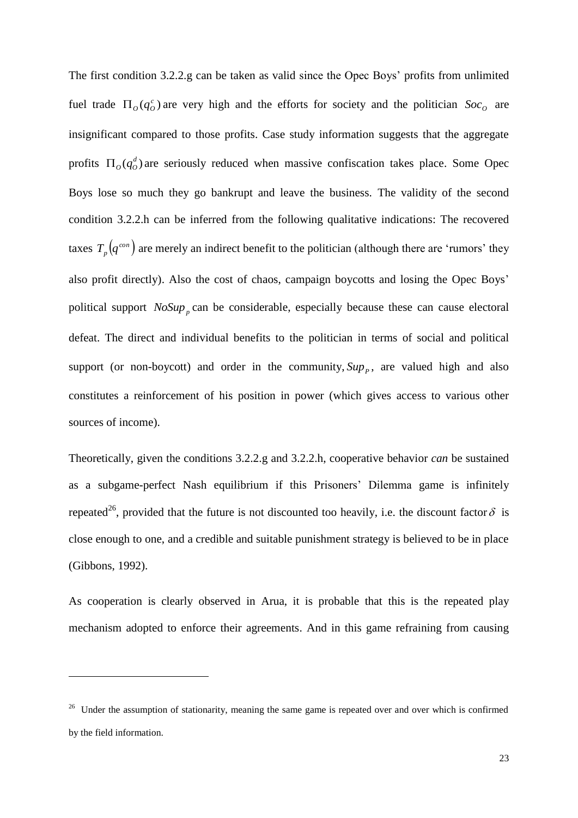The first condition 3.2.2.g can be taken as valid since the Opec Boys' profits from unlimited fuel trade  $\Pi_o(q_o^c)$  are very high and the efforts for society and the politician  $Soc_o$  are insignificant compared to those profits. Case study information suggests that the aggregate profits  $\Pi_o(q_o^d)$  are seriously reduced when massive confiscation takes place. Some Opec Boys lose so much they go bankrupt and leave the business. The validity of the second condition 3.2.2.h can be inferred from the following qualitative indications: The recovered taxes  $T_p(q^{con})$  are merely an indirect benefit to the politician (although there are 'rumors' they also profit directly). Also the cost of chaos, campaign boycotts and losing the Opec Boys' political support  $NoSup_{p}$  can be considerable, especially because these can cause electoral defeat. The direct and individual benefits to the politician in terms of social and political support (or non-boycott) and order in the community,  $Sup_{P}$ , are valued high and also constitutes a reinforcement of his position in power (which gives access to various other sources of income).

Theoretically, given the conditions 3.2.2.g and 3.2.2.h, cooperative behavior *can* be sustained as a subgame-perfect Nash equilibrium if this Prisoners' Dilemma game is infinitely repeated<sup>26</sup>, provided that the future is not discounted too heavily, i.e. the discount factor  $\delta$  is close enough to one, and a credible and suitable punishment strategy is believed to be in place (Gibbons, 1992).

As cooperation is clearly observed in Arua, it is probable that this is the repeated play mechanism adopted to enforce their agreements. And in this game refraining from causing

<sup>&</sup>lt;sup>26</sup> Under the assumption of stationarity, meaning the same game is repeated over and over which is confirmed by the field information.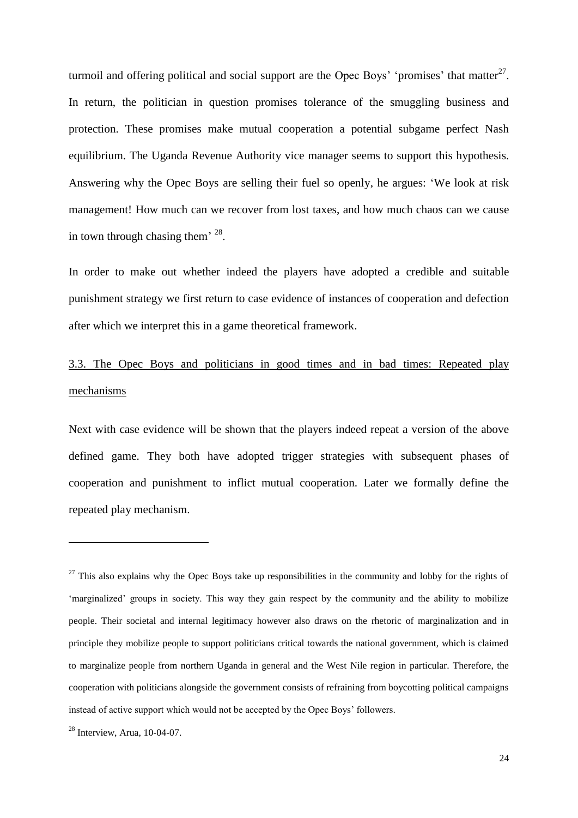turmoil and offering political and social support are the Opec Boys' 'promises' that matter $^{27}$ . In return, the politician in question promises tolerance of the smuggling business and protection. These promises make mutual cooperation a potential subgame perfect Nash equilibrium. The Uganda Revenue Authority vice manager seems to support this hypothesis. Answering why the Opec Boys are selling their fuel so openly, he argues: 'We look at risk management! How much can we recover from lost taxes, and how much chaos can we cause in town through chasing them<sup> $28$ </sup>.

In order to make out whether indeed the players have adopted a credible and suitable punishment strategy we first return to case evidence of instances of cooperation and defection after which we interpret this in a game theoretical framework.

## 3.3. The Opec Boys and politicians in good times and in bad times: Repeated play mechanisms

Next with case evidence will be shown that the players indeed repeat a version of the above defined game. They both have adopted trigger strategies with subsequent phases of cooperation and punishment to inflict mutual cooperation. Later we formally define the repeated play mechanism.

 $27$  This also explains why the Opec Boys take up responsibilities in the community and lobby for the rights of 'marginalized' groups in society. This way they gain respect by the community and the ability to mobilize people. Their societal and internal legitimacy however also draws on the rhetoric of marginalization and in principle they mobilize people to support politicians critical towards the national government, which is claimed to marginalize people from northern Uganda in general and the West Nile region in particular. Therefore, the cooperation with politicians alongside the government consists of refraining from boycotting political campaigns instead of active support which would not be accepted by the Opec Boys' followers.

<sup>28</sup> Interview, Arua, 10-04-07.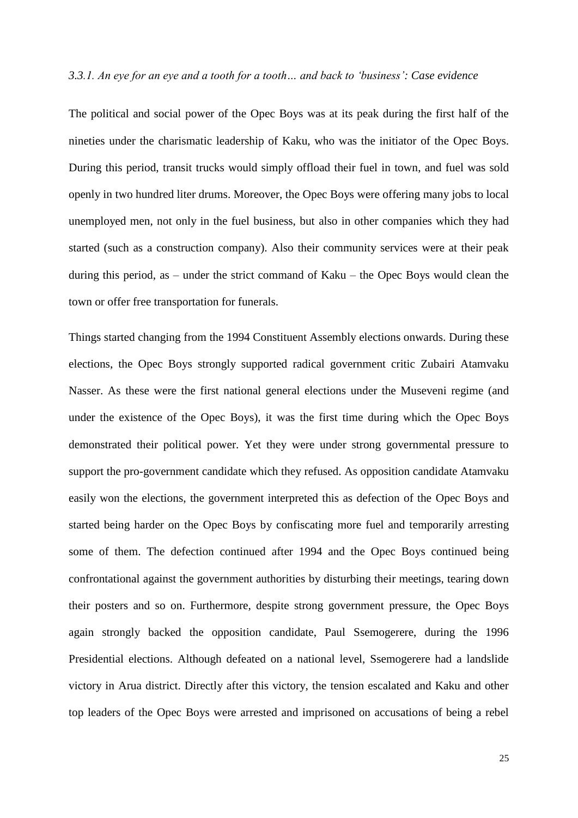#### *3.3.1. An eye for an eye and a tooth for a tooth… and back to 'business': Case evidence*

The political and social power of the Opec Boys was at its peak during the first half of the nineties under the charismatic leadership of Kaku, who was the initiator of the Opec Boys. During this period, transit trucks would simply offload their fuel in town, and fuel was sold openly in two hundred liter drums. Moreover, the Opec Boys were offering many jobs to local unemployed men, not only in the fuel business, but also in other companies which they had started (such as a construction company). Also their community services were at their peak during this period, as – under the strict command of Kaku – the Opec Boys would clean the town or offer free transportation for funerals.

Things started changing from the 1994 Constituent Assembly elections onwards. During these elections, the Opec Boys strongly supported radical government critic Zubairi Atamvaku Nasser. As these were the first national general elections under the Museveni regime (and under the existence of the Opec Boys), it was the first time during which the Opec Boys demonstrated their political power. Yet they were under strong governmental pressure to support the pro-government candidate which they refused. As opposition candidate Atamvaku easily won the elections, the government interpreted this as defection of the Opec Boys and started being harder on the Opec Boys by confiscating more fuel and temporarily arresting some of them. The defection continued after 1994 and the Opec Boys continued being confrontational against the government authorities by disturbing their meetings, tearing down their posters and so on. Furthermore, despite strong government pressure, the Opec Boys again strongly backed the opposition candidate, Paul Ssemogerere, during the 1996 Presidential elections. Although defeated on a national level, Ssemogerere had a landslide victory in Arua district. Directly after this victory, the tension escalated and Kaku and other top leaders of the Opec Boys were arrested and imprisoned on accusations of being a rebel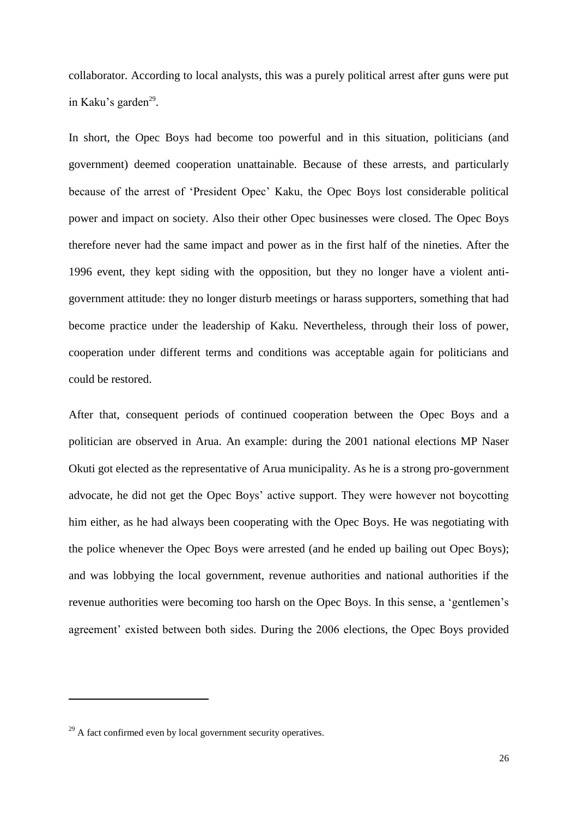collaborator. According to local analysts, this was a purely political arrest after guns were put in Kaku's garden<sup>29</sup>.

In short, the Opec Boys had become too powerful and in this situation, politicians (and government) deemed cooperation unattainable. Because of these arrests, and particularly because of the arrest of 'President Opec' Kaku, the Opec Boys lost considerable political power and impact on society. Also their other Opec businesses were closed. The Opec Boys therefore never had the same impact and power as in the first half of the nineties. After the 1996 event, they kept siding with the opposition, but they no longer have a violent antigovernment attitude: they no longer disturb meetings or harass supporters, something that had become practice under the leadership of Kaku. Nevertheless, through their loss of power, cooperation under different terms and conditions was acceptable again for politicians and could be restored.

After that, consequent periods of continued cooperation between the Opec Boys and a politician are observed in Arua. An example: during the 2001 national elections MP Naser Okuti got elected as the representative of Arua municipality. As he is a strong pro-government advocate, he did not get the Opec Boys' active support. They were however not boycotting him either, as he had always been cooperating with the Opec Boys. He was negotiating with the police whenever the Opec Boys were arrested (and he ended up bailing out Opec Boys); and was lobbying the local government, revenue authorities and national authorities if the revenue authorities were becoming too harsh on the Opec Boys. In this sense, a 'gentlemen's agreement' existed between both sides. During the 2006 elections, the Opec Boys provided

 $29$  A fact confirmed even by local government security operatives.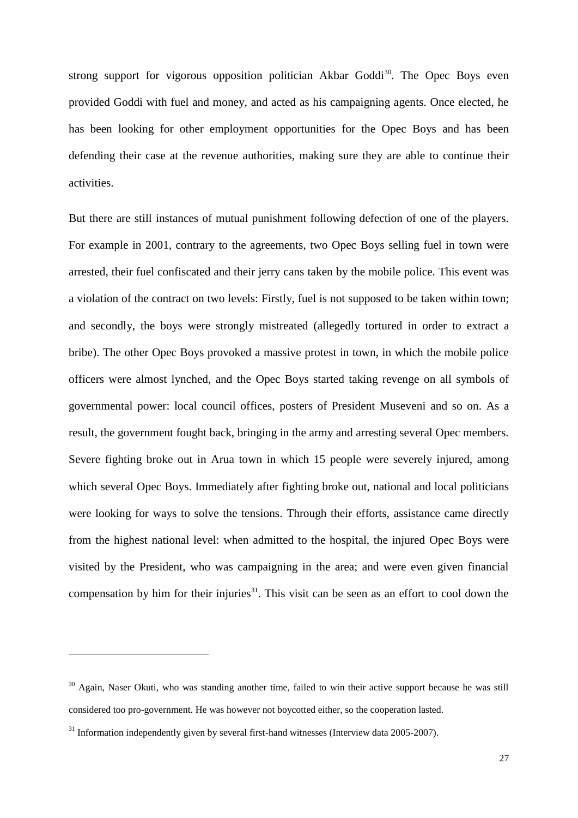strong support for vigorous opposition politician Akbar Goddi<sup>30</sup>. The Opec Boys even provided Goddi with fuel and money, and acted as his campaigning agents. Once elected, he has been looking for other employment opportunities for the Opec Boys and has been defending their case at the revenue authorities, making sure they are able to continue their activities.

But there are still instances of mutual punishment following defection of one of the players. For example in 2001, contrary to the agreements, two Opec Boys selling fuel in town were arrested, their fuel confiscated and their jerry cans taken by the mobile police. This event was a violation of the contract on two levels: Firstly, fuel is not supposed to be taken within town; and secondly, the boys were strongly mistreated (allegedly tortured in order to extract a bribe). The other Opec Boys provoked a massive protest in town, in which the mobile police officers were almost lynched, and the Opec Boys started taking revenge on all symbols of governmental power: local council offices, posters of President Museveni and so on. As a result, the government fought back, bringing in the army and arresting several Opec members. Severe fighting broke out in Arua town in which 15 people were severely injured, among which several Opec Boys. Immediately after fighting broke out, national and local politicians were looking for ways to solve the tensions. Through their efforts, assistance came directly from the highest national level: when admitted to the hospital, the injured Opec Boys were visited by the President, who was campaigning in the area; and were even given financial compensation by him for their injuries $31$ . This visit can be seen as an effort to cool down the

<sup>&</sup>lt;sup>30</sup> Again, Naser Okuti, who was standing another time, failed to win their active support because he was still considered too pro-government. He was however not boycotted either, so the cooperation lasted.

 $31$  Information independently given by several first-hand witnesses (Interview data 2005-2007).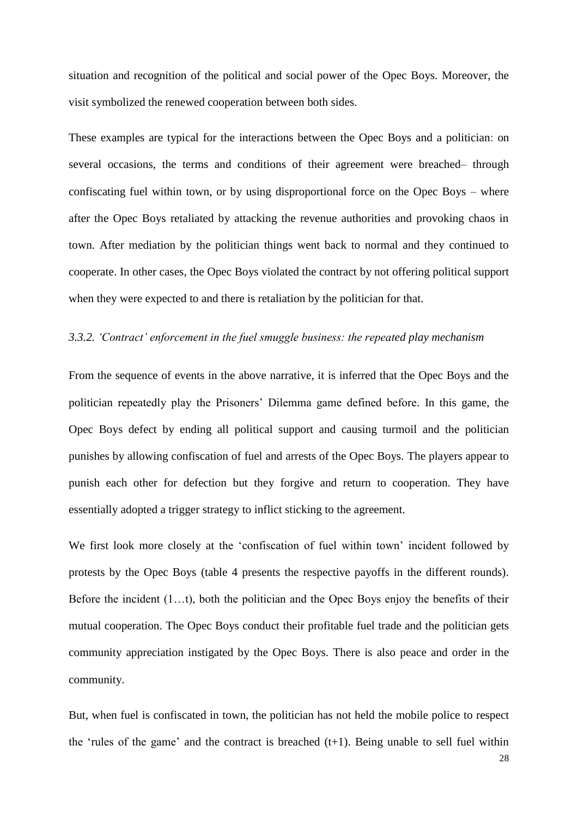situation and recognition of the political and social power of the Opec Boys. Moreover, the visit symbolized the renewed cooperation between both sides.

These examples are typical for the interactions between the Opec Boys and a politician: on several occasions, the terms and conditions of their agreement were breached– through confiscating fuel within town, or by using disproportional force on the Opec Boys – where after the Opec Boys retaliated by attacking the revenue authorities and provoking chaos in town. After mediation by the politician things went back to normal and they continued to cooperate. In other cases, the Opec Boys violated the contract by not offering political support when they were expected to and there is retaliation by the politician for that.

#### *3.3.2. 'Contract' enforcement in the fuel smuggle business: the repeated play mechanism*

From the sequence of events in the above narrative, it is inferred that the Opec Boys and the politician repeatedly play the Prisoners' Dilemma game defined before. In this game, the Opec Boys defect by ending all political support and causing turmoil and the politician punishes by allowing confiscation of fuel and arrests of the Opec Boys. The players appear to punish each other for defection but they forgive and return to cooperation. They have essentially adopted a trigger strategy to inflict sticking to the agreement.

We first look more closely at the 'confiscation of fuel within town' incident followed by protests by the Opec Boys (table 4 presents the respective payoffs in the different rounds). Before the incident (1…t), both the politician and the Opec Boys enjoy the benefits of their mutual cooperation. The Opec Boys conduct their profitable fuel trade and the politician gets community appreciation instigated by the Opec Boys. There is also peace and order in the community.

But, when fuel is confiscated in town, the politician has not held the mobile police to respect the 'rules of the game' and the contract is breached  $(t+1)$ . Being unable to sell fuel within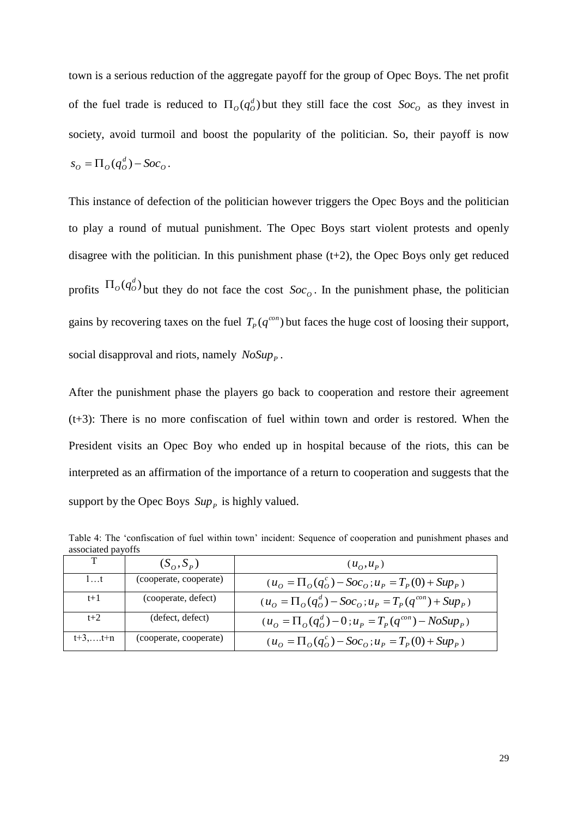town is a serious reduction of the aggregate payoff for the group of Opec Boys. The net profit of the fuel trade is reduced to  $\Pi_o(q_o^d)$  but they still face the cost  $Soc_o$  as they invest in society, avoid turmoil and boost the popularity of the politician. So, their payoff is now *O*  $s_o = \Pi_o(q_o^d) - Soc_o$ .

This instance of defection of the politician however triggers the Opec Boys and the politician to play a round of mutual punishment. The Opec Boys start violent protests and openly disagree with the politician. In this punishment phase  $(t+2)$ , the Opec Boys only get reduced profits  $\Pi_o(q_o^d)$  but they do not face the cost  $Soc_o$ . In the punishment phase, the politician gains by recovering taxes on the fuel  $T_p(q^{con})$  but faces the huge cost of loosing their support, social disapproval and riots, namely  $NoSup_{P}$ .

After the punishment phase the players go back to cooperation and restore their agreement (t+3): There is no more confiscation of fuel within town and order is restored. When the President visits an Opec Boy who ended up in hospital because of the riots, this can be interpreted as an affirmation of the importance of a return to cooperation and suggests that the support by the Opec Boys  $Sup_{P}$  is highly valued.

T  $(S_{\alpha}, S_{\beta})$  $(u_0, u_p)$ 1…t (cooperate, cooperate)  $(u_o = \Pi_o(q_o^c) - Soc_o)$  $u_o = \prod_o (q_o^c) - Soc_o$ ;  $u_p = T_p(0) + Sup_p$ t+1 (cooperate, defect) ( *O*  $u_o = \prod_o (q_o^d) - Soc_o$ ;  $u_p = T_p (q^{con}) + Sup_p$  $u_p = T_p(q^{con}) + Sup_p$ 

 $(u_o = \Pi_o(q_o^c) - Soc_o)$ 

 $u_o = \prod_o (q_o^d) - 0$ ;  $u_p = T_p (q^{con}) - NoSup_p$ 

 $u_o = \prod_o (q_o^c) - Soc_o$ ;  $u_p = T_p(0) + Sup_p$ )

 $u_p = T_p(q^{con}) - NoSup_p$ 

 $t+2$  (defect, defect)

t+3,….t+n (cooperate, cooperate)

| Table 4: The 'confiscation of fuel within town' incident: Sequence of cooperation and punishment phases and |  |  |  |  |  |  |
|-------------------------------------------------------------------------------------------------------------|--|--|--|--|--|--|
| associated payoffs                                                                                          |  |  |  |  |  |  |
|                                                                                                             |  |  |  |  |  |  |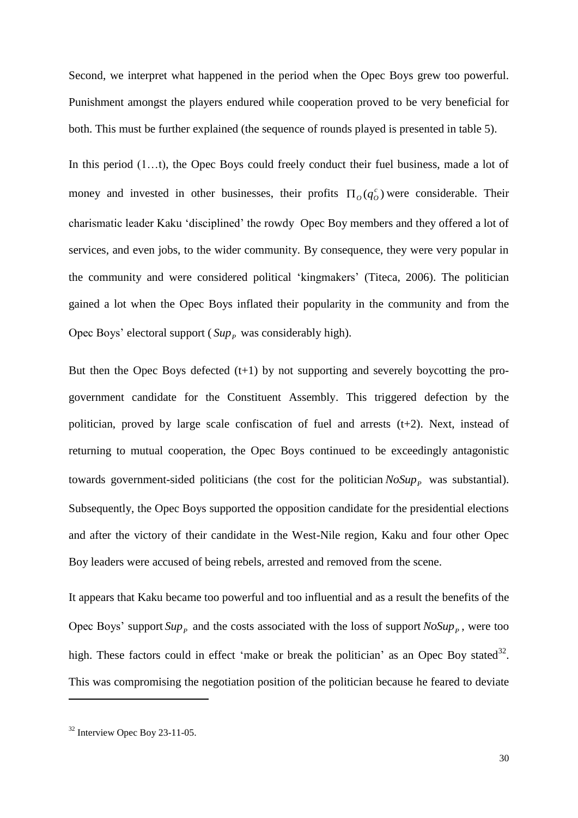Second, we interpret what happened in the period when the Opec Boys grew too powerful. Punishment amongst the players endured while cooperation proved to be very beneficial for both. This must be further explained (the sequence of rounds played is presented in table 5).

In this period  $(1...t)$ , the Opec Boys could freely conduct their fuel business, made a lot of money and invested in other businesses, their profits  $\Pi_o(q_o^c)$  were considerable. Their charismatic leader Kaku 'disciplined' the rowdy Opec Boy members and they offered a lot of services, and even jobs, to the wider community. By consequence, they were very popular in the community and were considered political 'kingmakers' (Titeca, 2006). The politician gained a lot when the Opec Boys inflated their popularity in the community and from the Opec Boys' electoral support ( $Sup_{P}$  was considerably high).

But then the Opec Boys defected  $(t+1)$  by not supporting and severely boycotting the progovernment candidate for the Constituent Assembly. This triggered defection by the politician, proved by large scale confiscation of fuel and arrests (t+2). Next, instead of returning to mutual cooperation, the Opec Boys continued to be exceedingly antagonistic towards government-sided politicians (the cost for the politician  $NoSup_{P}$  was substantial). Subsequently, the Opec Boys supported the opposition candidate for the presidential elections and after the victory of their candidate in the West-Nile region, Kaku and four other Opec Boy leaders were accused of being rebels, arrested and removed from the scene.

It appears that Kaku became too powerful and too influential and as a result the benefits of the Opec Boys' support  $Sup_{P}$  and the costs associated with the loss of support  $NoSup_{P}$ , were too high. These factors could in effect 'make or break the politician' as an Opec Boy stated<sup>32</sup>. This was compromising the negotiation position of the politician because he feared to deviate

<sup>32</sup> Interview Opec Boy 23-11-05.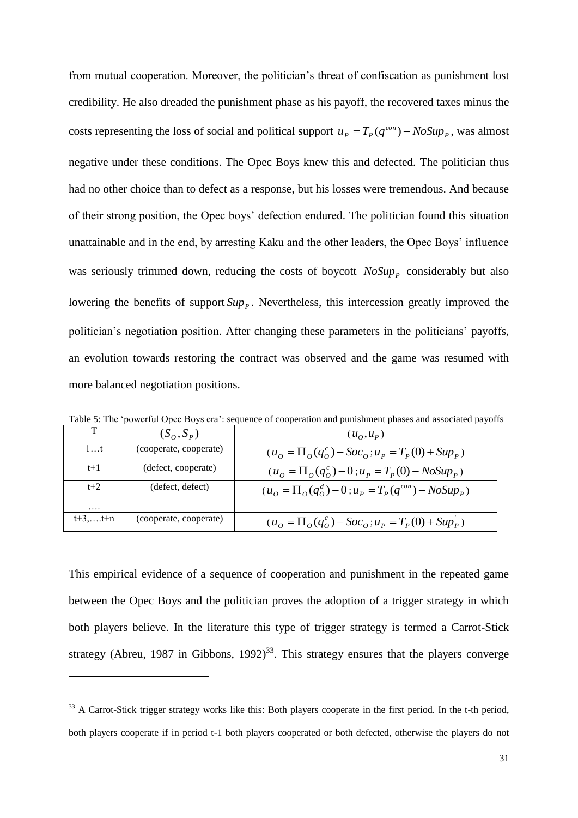from mutual cooperation. Moreover, the politician's threat of confiscation as punishment lost credibility. He also dreaded the punishment phase as his payoff, the recovered taxes minus the costs representing the loss of social and political support  $u_p = T_p(q^{con}) - N_o \text{Sup } p$  $u_p = T_p(q^{con}) - NoSup_p$ , was almost negative under these conditions. The Opec Boys knew this and defected. The politician thus had no other choice than to defect as a response, but his losses were tremendous. And because of their strong position, the Opec boys' defection endured. The politician found this situation unattainable and in the end, by arresting Kaku and the other leaders, the Opec Boys' influence was seriously trimmed down, reducing the costs of boycott *NoSup<sub>P</sub>* considerably but also lowering the benefits of support  $Sup_{P}$ . Nevertheless, this intercession greatly improved the politician's negotiation position. After changing these parameters in the politicians' payoffs, an evolution towards restoring the contract was observed and the game was resumed with more balanced negotiation positions.

|           |                        | Table 5. The "powerful Opee Doys era". Sequence of cooperation and pamsimient phases and associated payoff. |
|-----------|------------------------|-------------------------------------------------------------------------------------------------------------|
|           | $(S_o, S_p)$           | $(u_{\Omega},u_{p})$                                                                                        |
| 1t        | (cooperate, cooperate) | $(u_0 = \prod_{o} (q_o^c) - Soc_o; u_p = T_p(0) + Sup_p)$                                                   |
| $t+1$     | (defect, cooperate)    | $(u_0 = \Pi_0(q_0^c) - 0$ ; $u_p = T_p(0) - NoSup_p$ )                                                      |
| $t+2$     | (defect, defect)       | $(u_{\alpha} = \prod_{\alpha} (q_{\alpha}^{d}) - 0$ ; $u_{p} = T_{p}(q^{con}) - NoSup_{p})$                 |
| .         |                        |                                                                                                             |
| $t+3,t+n$ | (cooperate, cooperate) | $(u_0 = \Pi_0(q_0^c) - Soc_0; u_p = T_p(0) + Sup_p)$                                                        |

Table 5: The 'powerful Opec Boys era': sequence of cooperation and punishment phases and associated payoffs

This empirical evidence of a sequence of cooperation and punishment in the repeated game between the Opec Boys and the politician proves the adoption of a trigger strategy in which both players believe. In the literature this type of trigger strategy is termed a Carrot-Stick strategy (Abreu, 1987 in Gibbons, 1992)<sup>33</sup>. This strategy ensures that the players converge

<sup>&</sup>lt;sup>33</sup> A Carrot-Stick trigger strategy works like this: Both players cooperate in the first period. In the t-th period, both players cooperate if in period t-1 both players cooperated or both defected, otherwise the players do not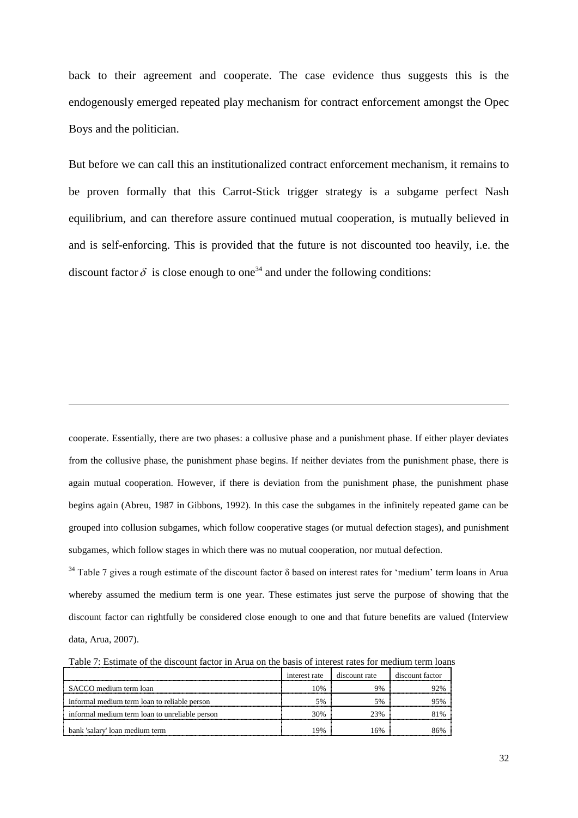back to their agreement and cooperate. The case evidence thus suggests this is the endogenously emerged repeated play mechanism for contract enforcement amongst the Opec Boys and the politician.

But before we can call this an institutionalized contract enforcement mechanism, it remains to be proven formally that this Carrot-Stick trigger strategy is a subgame perfect Nash equilibrium, and can therefore assure continued mutual cooperation, is mutually believed in and is self-enforcing. This is provided that the future is not discounted too heavily, i.e. the discount factor  $\delta$  is close enough to one<sup>34</sup> and under the following conditions:

cooperate. Essentially, there are two phases: a collusive phase and a punishment phase. If either player deviates from the collusive phase, the punishment phase begins. If neither deviates from the punishment phase, there is again mutual cooperation. However, if there is deviation from the punishment phase, the punishment phase begins again (Abreu, 1987 in Gibbons, 1992). In this case the subgames in the infinitely repeated game can be grouped into collusion subgames, which follow cooperative stages (or mutual defection stages), and punishment subgames, which follow stages in which there was no mutual cooperation, nor mutual defection.

 $\overline{a}$ 

 $34$  Table 7 gives a rough estimate of the discount factor  $\delta$  based on interest rates for 'medium' term loans in Arua whereby assumed the medium term is one year. These estimates just serve the purpose of showing that the discount factor can rightfully be considered close enough to one and that future benefits are valued (Interview data, Arua, 2007).

Table 7: Estimate of the discount factor in Arua on the basis of interest rates for medium term loans

|                                                | interest rate | discount rate | discount factor |
|------------------------------------------------|---------------|---------------|-----------------|
| SACCO medium term loan                         | $10\%$        | 9%            | $22\%$          |
| informal medium term loan to reliable person   | 5%            | 5%            | 95%             |
| informal medium term loan to unreliable person | 30%           | 23%           | 81%             |
| bank 'salary' loan medium term                 | 19%           | 16%           |                 |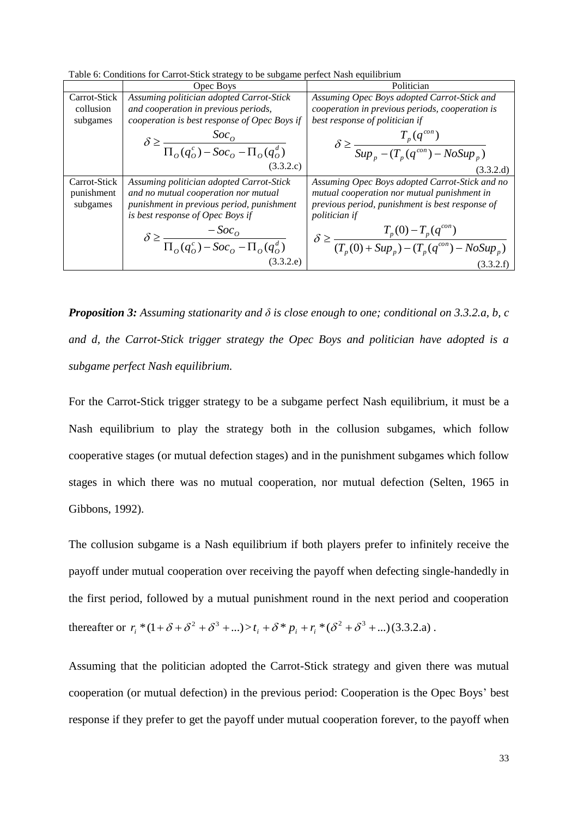Table 6: Conditions for Carrot-Stick strategy to be subgame perfect Nash equilibrium

|              | Opec Boys                                                           | Politician                                                                              |
|--------------|---------------------------------------------------------------------|-----------------------------------------------------------------------------------------|
| Carrot-Stick | Assuming politician adopted Carrot-Stick                            | Assuming Opec Boys adopted Carrot-Stick and                                             |
| collusion    | and cooperation in previous periods,                                | cooperation in previous periods, cooperation is                                         |
| subgames     | cooperation is best response of Opec Boys if                        | best response of politician if                                                          |
|              | $\delta \ge \frac{Soc_0}{\prod_o(q_o^c) - Soc_o - \prod_o(q_o^d)}$  | $\delta \geq \frac{T_p(q^{con})}{Sup_p - (T_p(q^{con}) - NoSup_p)}$                     |
|              |                                                                     |                                                                                         |
|              | (3.3.2.c)                                                           | (3.3.2.d)                                                                               |
| Carrot-Stick | Assuming politician adopted Carrot-Stick                            | Assuming Opec Boys adopted Carrot-Stick and no                                          |
| punishment   | and no mutual cooperation nor mutual                                | mutual cooperation nor mutual punishment in                                             |
| subgames     | punishment in previous period, punishment                           | previous period, punishment is best response of                                         |
|              | is best response of Opec Boys if                                    | politician if                                                                           |
|              | $\delta \ge \frac{-Soc_0}{\prod_o(q_o^c) - Soc_o - \prod_o(q_o^d)}$ | $\delta \geq \frac{T_p(0) - T_p(q^{con})}{(T_p(0) + Sup_p) - (T_p(q^{con}) - NoSup_p)}$ |
|              |                                                                     |                                                                                         |
|              | (3.3.2.e)                                                           | (3.3.2.f)                                                                               |

*Proposition 3: Assuming stationarity and δ is close enough to one; conditional on 3.3.2.a, b, c and d, the Carrot-Stick trigger strategy the Opec Boys and politician have adopted is a subgame perfect Nash equilibrium.*

For the Carrot-Stick trigger strategy to be a subgame perfect Nash equilibrium, it must be a Nash equilibrium to play the strategy both in the collusion subgames, which follow cooperative stages (or mutual defection stages) and in the punishment subgames which follow stages in which there was no mutual cooperation, nor mutual defection (Selten, 1965 in Gibbons, 1992).

The collusion subgame is a Nash equilibrium if both players prefer to infinitely receive the payoff under mutual cooperation over receiving the payoff when defecting single-handedly in the first period, followed by a mutual punishment round in the next period and cooperation thereafter or  $r_i * (1 + \delta + \delta^2 + \delta^3 + ...) > t_i + \delta * p_i + r_i * (\delta^2 + \delta^3 + ...)$  (3.3.2.a).

Assuming that the politician adopted the Carrot-Stick strategy and given there was mutual cooperation (or mutual defection) in the previous period: Cooperation is the Opec Boys' best response if they prefer to get the payoff under mutual cooperation forever, to the payoff when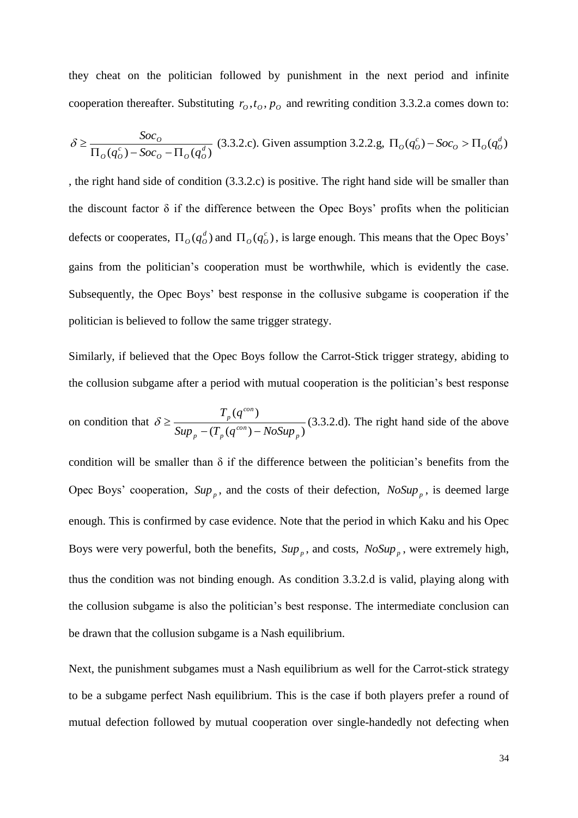they cheat on the politician followed by punishment in the next period and infinite cooperation thereafter. Substituting  $r_o, t_o, p_o$  and rewriting condition 3.3.2.a comes down to:

$$
\delta \ge \frac{Soc_0}{\Pi_o(q_o^c) - Soc_0 - \Pi_o(q_o^d)} (3.3.2.c).
$$
 Given assumption 3.2.2.g,  $\Pi_o(q_o^c) - Soc_0 > \Pi_o(q_o^d)$ 

, the right hand side of condition (3.3.2.c) is positive. The right hand side will be smaller than the discount factor  $\delta$  if the difference between the Opec Boys' profits when the politician defects or cooperates,  $\Pi_o(q_o^d)$  and  $\Pi_o(q_o^c)$ , is large enough. This means that the Opec Boys' gains from the politician's cooperation must be worthwhile, which is evidently the case. Subsequently, the Opec Boys' best response in the collusive subgame is cooperation if the politician is believed to follow the same trigger strategy.

Similarly, if believed that the Opec Boys follow the Carrot-Stick trigger strategy, abiding to the collusion subgame after a period with mutual cooperation is the politician's best response

on condition that 
$$
\delta \ge \frac{T_p(q^{con})}{Sup_p - (T_p(q^{con}) - NoSup_p)}
$$
 (3.3.2. d). The right hand side of the above

condition will be smaller than  $\delta$  if the difference between the politician's benefits from the Opec Boys' cooperation,  $Sup_{p}$ , and the costs of their defection,  $NoSup_{p}$ , is deemed large enough. This is confirmed by case evidence. Note that the period in which Kaku and his Opec Boys were very powerful, both the benefits,  $Sup_{p}$ , and costs,  $NoSup_{p}$ , were extremely high, thus the condition was not binding enough. As condition 3.3.2.d is valid, playing along with the collusion subgame is also the politician's best response. The intermediate conclusion can be drawn that the collusion subgame is a Nash equilibrium.

Next, the punishment subgames must a Nash equilibrium as well for the Carrot-stick strategy to be a subgame perfect Nash equilibrium. This is the case if both players prefer a round of mutual defection followed by mutual cooperation over single-handedly not defecting when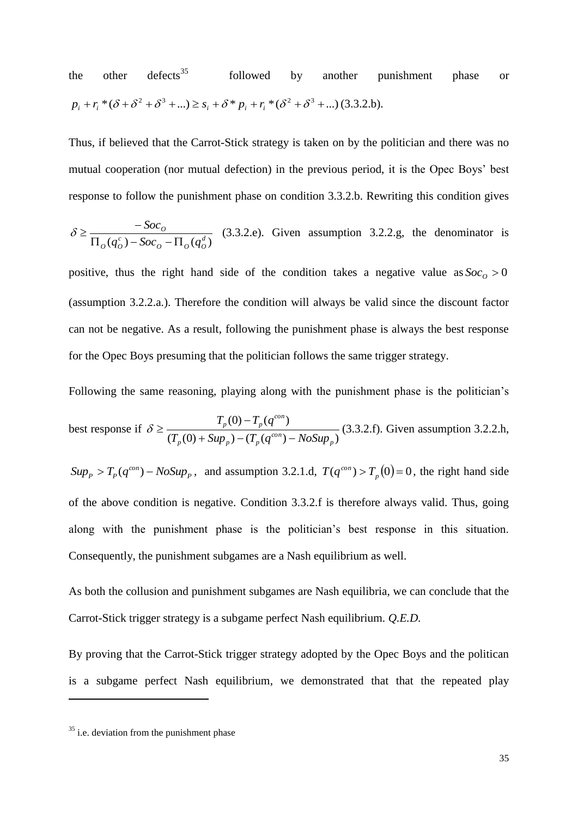the other defects<sup>35</sup> followed by another punishment phase or  $p_i + r_i * (\delta + \delta^2 + \delta^3 + ...) \geq s_i + \delta * p_i + r_i * (\delta^2 + \delta^3 + ...)$  (3.3.2.b).

Thus, if believed that the Carrot-Stick strategy is taken on by the politician and there was no mutual cooperation (nor mutual defection) in the previous period, it is the Opec Boys' best response to follow the punishment phase on condition 3.3.2.b. Rewriting this condition gives

$$
\delta \ge \frac{-Soc_0}{\Pi_o(q_o^c) - Soc_0 - \Pi_o(q_o^d)}
$$
 (3.3.2.e). Given assumption 3.2.2.g, the denominator is

positive, thus the right hand side of the condition takes a negative value as  $Soc<sub>o</sub> > 0$ (assumption 3.2.2.a.). Therefore the condition will always be valid since the discount factor can not be negative. As a result, following the punishment phase is always the best response for the Opec Boys presuming that the politician follows the same trigger strategy.

Following the same reasoning, playing along with the punishment phase is the politician's

best response if 
$$
\delta \ge \frac{T_p(0) - T_p(q^{con})}{(T_p(0) + \text{Sup}_p) - (T_p(q^{con}) - \text{NoSup}_p)} (3.3.2.f).
$$
 Given assumption 3.2.2.h,

 $Sup_{P}$  >  $T_{P}(q^{con}) - NoSup_{P}$ , and assumption 3.2.1.d,  $T(q^{con}) > T_{P}(0) = 0$ , the right hand side of the above condition is negative. Condition 3.3.2.f is therefore always valid. Thus, going along with the punishment phase is the politician's best response in this situation. Consequently, the punishment subgames are a Nash equilibrium as well.

As both the collusion and punishment subgames are Nash equilibria, we can conclude that the Carrot-Stick trigger strategy is a subgame perfect Nash equilibrium. *Q.E.D.*

By proving that the Carrot-Stick trigger strategy adopted by the Opec Boys and the politican is a subgame perfect Nash equilibrium, we demonstrated that that the repeated play

 $35$  i.e. deviation from the punishment phase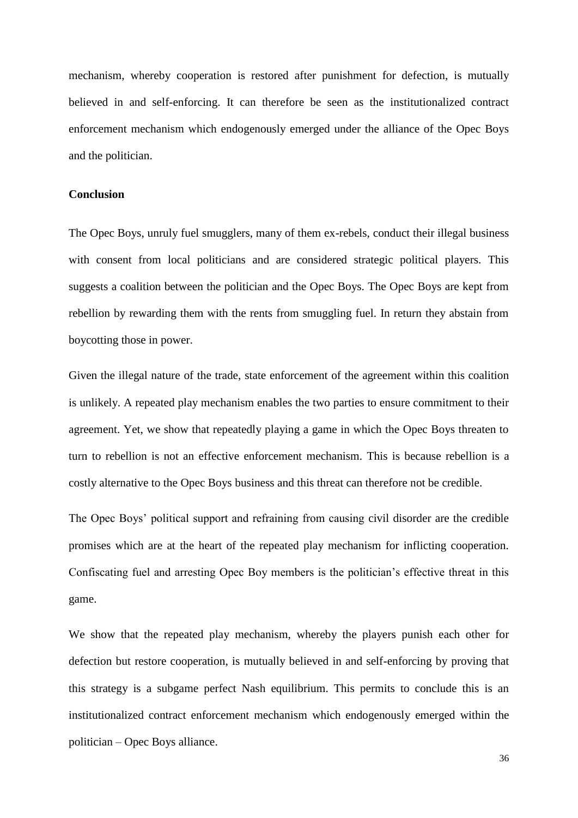mechanism, whereby cooperation is restored after punishment for defection, is mutually believed in and self-enforcing. It can therefore be seen as the institutionalized contract enforcement mechanism which endogenously emerged under the alliance of the Opec Boys and the politician.

#### **Conclusion**

The Opec Boys, unruly fuel smugglers, many of them ex-rebels, conduct their illegal business with consent from local politicians and are considered strategic political players. This suggests a coalition between the politician and the Opec Boys. The Opec Boys are kept from rebellion by rewarding them with the rents from smuggling fuel. In return they abstain from boycotting those in power.

Given the illegal nature of the trade, state enforcement of the agreement within this coalition is unlikely. A repeated play mechanism enables the two parties to ensure commitment to their agreement. Yet, we show that repeatedly playing a game in which the Opec Boys threaten to turn to rebellion is not an effective enforcement mechanism. This is because rebellion is a costly alternative to the Opec Boys business and this threat can therefore not be credible.

The Opec Boys' political support and refraining from causing civil disorder are the credible promises which are at the heart of the repeated play mechanism for inflicting cooperation. Confiscating fuel and arresting Opec Boy members is the politician's effective threat in this game.

We show that the repeated play mechanism, whereby the players punish each other for defection but restore cooperation, is mutually believed in and self-enforcing by proving that this strategy is a subgame perfect Nash equilibrium. This permits to conclude this is an institutionalized contract enforcement mechanism which endogenously emerged within the politician – Opec Boys alliance.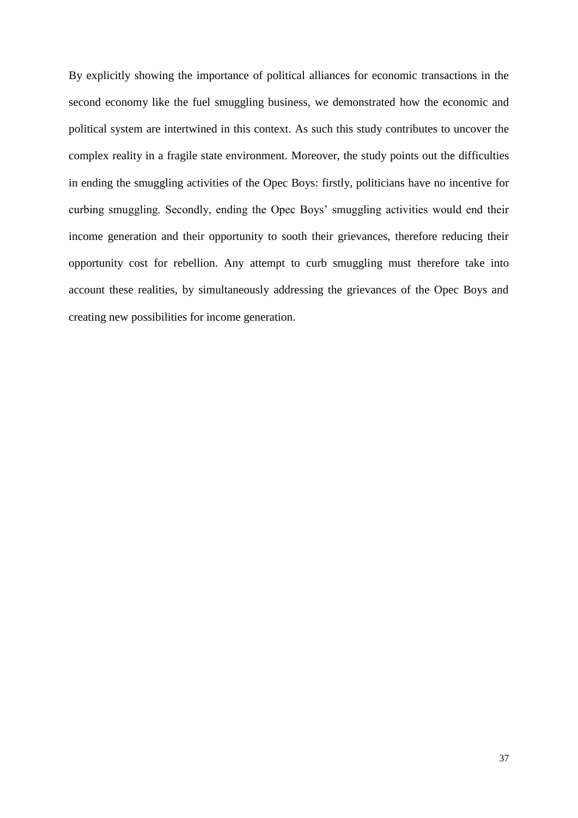By explicitly showing the importance of political alliances for economic transactions in the second economy like the fuel smuggling business, we demonstrated how the economic and political system are intertwined in this context. As such this study contributes to uncover the complex reality in a fragile state environment. Moreover, the study points out the difficulties in ending the smuggling activities of the Opec Boys: firstly, politicians have no incentive for curbing smuggling. Secondly, ending the Opec Boys' smuggling activities would end their income generation and their opportunity to sooth their grievances, therefore reducing their opportunity cost for rebellion. Any attempt to curb smuggling must therefore take into account these realities, by simultaneously addressing the grievances of the Opec Boys and creating new possibilities for income generation.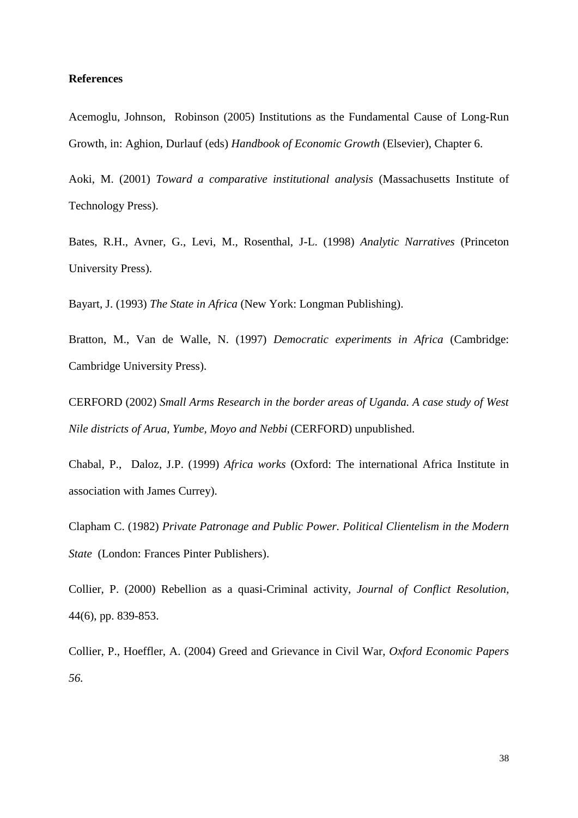#### **References**

Acemoglu, Johnson, Robinson (2005) Institutions as the Fundamental Cause of Long-Run Growth, in: Aghion, Durlauf (eds) *Handbook of Economic Growth* (Elsevier), Chapter 6.

Aoki, M. (2001) *Toward a comparative institutional analysis* (Massachusetts Institute of Technology Press).

Bates, R.H., Avner, G., Levi, M., Rosenthal, J-L. (1998) *Analytic Narratives* (Princeton University Press).

Bayart, J. (1993) *The State in Africa* (New York: Longman Publishing).

Bratton, M., Van de Walle, N. (1997) *Democratic experiments in Africa* (Cambridge: Cambridge University Press).

CERFORD (2002) *Small Arms Research in the border areas of Uganda. A case study of West Nile districts of Arua, Yumbe, Moyo and Nebbi* (CERFORD) unpublished.

Chabal, P., Daloz, J.P. (1999) *Africa works* (Oxford: The international Africa Institute in association with James Currey).

Clapham C. (1982) *Private Patronage and Public Power. Political Clientelism in the Modern State* (London: Frances Pinter Publishers).

Collier, P. (2000) Rebellion as a quasi-Criminal activity, *Journal of Conflict Resolution*, 44(6), pp. 839-853.

Collier, P., Hoeffler, A. (2004) Greed and Grievance in Civil War, *Oxford Economic Papers 56.*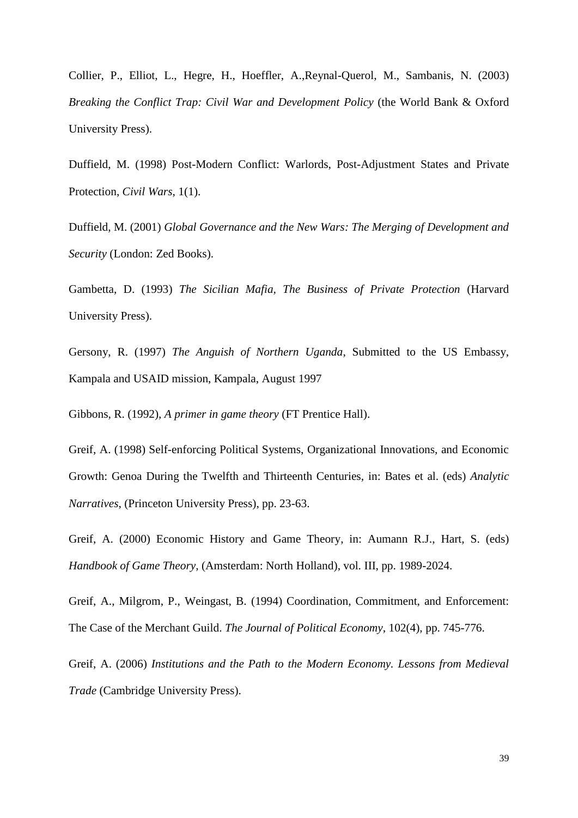Collier, P., Elliot, L., Hegre, H., Hoeffler, A.,Reynal-Querol, M., Sambanis, N. (2003) *Breaking the Conflict Trap: Civil War and Development Policy* (the World Bank & Oxford University Press).

Duffield, M. (1998) Post-Modern Conflict: Warlords, Post-Adjustment States and Private Protection, *Civil Wars*, 1(1).

Duffield, M. (2001) *Global Governance and the New Wars: The Merging of Development and Security* (London: Zed Books).

Gambetta, D. (1993) *The Sicilian Mafia, The Business of Private Protection* (Harvard University Press).

Gersony, R. (1997) *The Anguish of Northern Uganda*, Submitted to the US Embassy, Kampala and USAID mission, Kampala, August 1997

Gibbons, R. (1992), *A primer in game theory* (FT Prentice Hall).

Greif, A. (1998) Self-enforcing Political Systems, Organizational Innovations, and Economic Growth: Genoa During the Twelfth and Thirteenth Centuries, in: Bates et al. (eds) *Analytic Narratives*, (Princeton University Press), pp. 23-63.

Greif, A. (2000) Economic History and Game Theory, in: Aumann R.J., Hart, S. (eds) *Handbook of Game Theory*, (Amsterdam: North Holland), vol. III, pp. 1989-2024.

Greif, A., Milgrom, P., Weingast, B. (1994) Coordination, Commitment, and Enforcement: The Case of the Merchant Guild. *The Journal of Political Economy*, 102(4), pp. 745-776.

Greif, A. (2006) *Institutions and the Path to the Modern Economy. Lessons from Medieval Trade* (Cambridge University Press).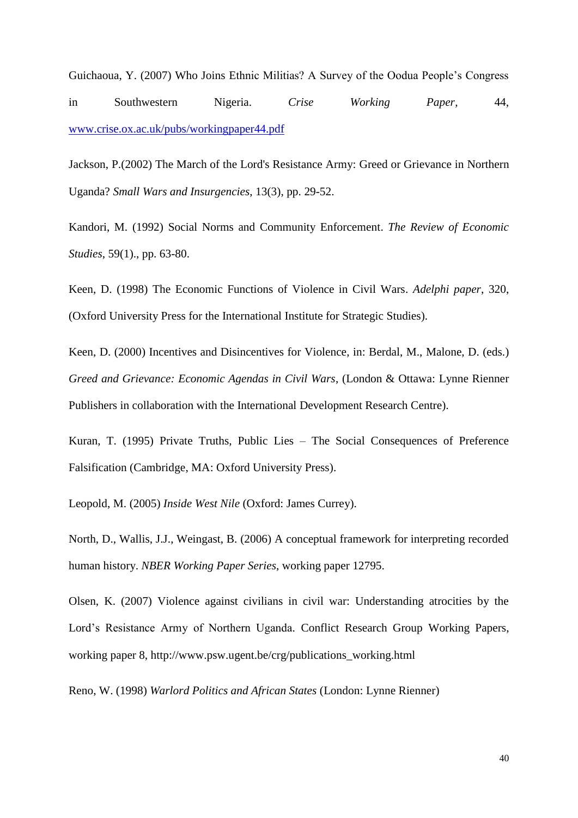Guichaoua, Y. (2007) Who Joins Ethnic Militias? A Survey of the Oodua People's Congress in Southwestern Nigeria. *Crise Working Paper*, 44, www.crise.ox.ac.uk/pubs/workingpaper44.pdf

Jackson, P.(2002) The March of the Lord's Resistance Army: Greed or Grievance in Northern Uganda? *Small Wars and Insurgencies*, 13(3), pp. 29-52.

Kandori, M. (1992) Social Norms and Community Enforcement. *The Review of Economic Studies*, 59(1)., pp. 63-80.

Keen, D. (1998) The Economic Functions of Violence in Civil Wars. *Adelphi paper*, 320, (Oxford University Press for the International Institute for Strategic Studies).

Keen, D. (2000) Incentives and Disincentives for Violence, in: Berdal, M., Malone, D. (eds.) *Greed and Grievance: Economic Agendas in Civil Wars*, (London & Ottawa: Lynne Rienner Publishers in collaboration with the International Development Research Centre).

Kuran, T. (1995) Private Truths, Public Lies – The Social Consequences of Preference Falsification (Cambridge, MA: Oxford University Press).

Leopold, M. (2005) *Inside West Nile* (Oxford: James Currey).

North, D., Wallis, J.J., Weingast, B. (2006) A conceptual framework for interpreting recorded human history. *NBER Working Paper Series*, working paper 12795.

Olsen, K. (2007) Violence against civilians in civil war: Understanding atrocities by the Lord's Resistance Army of Northern Uganda. Conflict Research Group Working Papers, working paper 8, http://www.psw.ugent.be/crg/publications\_working.html

Reno, W. (1998) *Warlord Politics and African States* (London: Lynne Rienner)